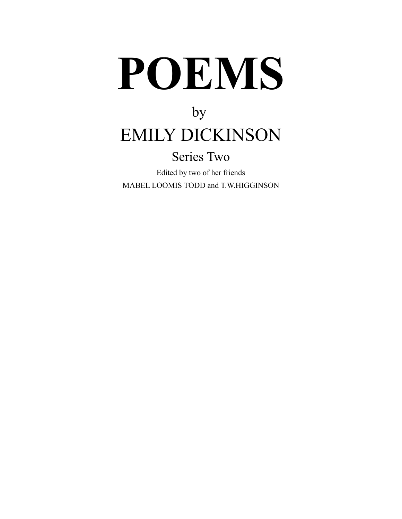# **POEMS**

# by EMILY DICKINSON

### Series Two

Edited by two of her friends MABEL LOOMIS TODD and T.W.HIGGINSON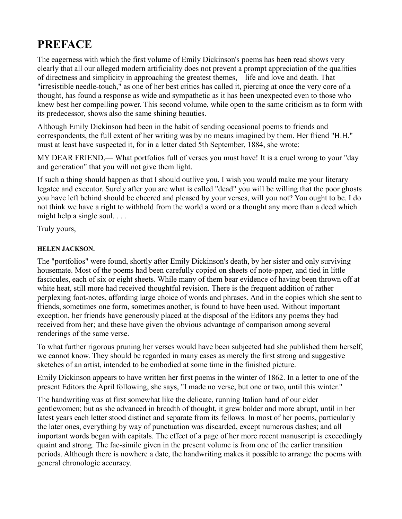### **PREFACE**

The eagerness with which the first volume of Emily Dickinson's poems has been read shows very clearly that all our alleged modern artificiality does not prevent a prompt appreciation of the qualities of directness and simplicity in approaching the greatest themes,—life and love and death. That "irresistible needle-touch," as one of her best critics has called it, piercing at once the very core of a thought, has found a response as wide and sympathetic as it has been unexpected even to those who knew best her compelling power. This second volume, while open to the same criticism as to form with its predecessor, shows also the same shining beauties.

Although Emily Dickinson had been in the habit of sending occasional poems to friends and correspondents, the full extent of her writing was by no means imagined by them. Her friend "H.H." must at least have suspected it, for in a letter dated 5th September, 1884, she wrote:—

MY DEAR FRIEND,— What portfolios full of verses you must have! It is a cruel wrong to your "day and generation" that you will not give them light.

If such a thing should happen as that I should outlive you, I wish you would make me your literary legatee and executor. Surely after you are what is called "dead" you will be willing that the poor ghosts you have left behind should be cheered and pleased by your verses, will you not? You ought to be. I do not think we have a right to withhold from the world a word or a thought any more than a deed which might help a single soul. . . .

Truly yours,

#### **HELEN JACKSON.**

The "portfolios" were found, shortly after Emily Dickinson's death, by her sister and only surviving housemate. Most of the poems had been carefully copied on sheets of note-paper, and tied in little fascicules, each of six or eight sheets. While many of them bear evidence of having been thrown off at white heat, still more had received thoughtful revision. There is the frequent addition of rather perplexing foot-notes, affording large choice of words and phrases. And in the copies which she sent to friends, sometimes one form, sometimes another, is found to have been used. Without important exception, her friends have generously placed at the disposal of the Editors any poems they had received from her; and these have given the obvious advantage of comparison among several renderings of the same verse.

To what further rigorous pruning her verses would have been subjected had she published them herself, we cannot know. They should be regarded in many cases as merely the first strong and suggestive sketches of an artist, intended to be embodied at some time in the finished picture.

Emily Dickinson appears to have written her first poems in the winter of 1862. In a letter to one of the present Editors the April following, she says, "I made no verse, but one or two, until this winter."

The handwriting was at first somewhat like the delicate, running Italian hand of our elder gentlewomen; but as she advanced in breadth of thought, it grew bolder and more abrupt, until in her latest years each letter stood distinct and separate from its fellows. In most of her poems, particularly the later ones, everything by way of punctuation was discarded, except numerous dashes; and all important words began with capitals. The effect of a page of her more recent manuscript is exceedingly quaint and strong. The fac-simile given in the present volume is from one of the earlier transition periods. Although there is nowhere a date, the handwriting makes it possible to arrange the poems with general chronologic accuracy.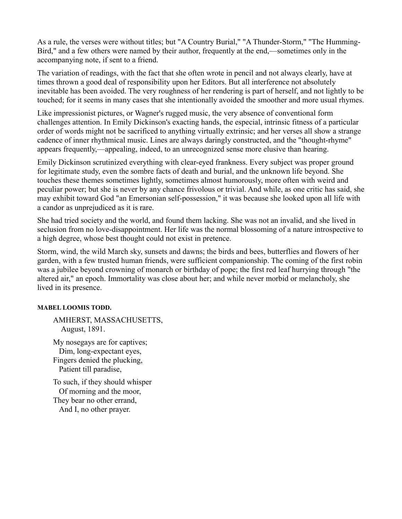As a rule, the verses were without titles; but "A Country Burial," "A Thunder-Storm," "The Humming-Bird," and a few others were named by their author, frequently at the end,—sometimes only in the accompanying note, if sent to a friend.

The variation of readings, with the fact that she often wrote in pencil and not always clearly, have at times thrown a good deal of responsibility upon her Editors. But all interference not absolutely inevitable has been avoided. The very roughness of her rendering is part of herself, and not lightly to be touched; for it seems in many cases that she intentionally avoided the smoother and more usual rhymes.

Like impressionist pictures, or Wagner's rugged music, the very absence of conventional form challenges attention. In Emily Dickinson's exacting hands, the especial, intrinsic fitness of a particular order of words might not be sacrificed to anything virtually extrinsic; and her verses all show a strange cadence of inner rhythmical music. Lines are always daringly constructed, and the "thought-rhyme" appears frequently,—appealing, indeed, to an unrecognized sense more elusive than hearing.

Emily Dickinson scrutinized everything with clear-eyed frankness. Every subject was proper ground for legitimate study, even the sombre facts of death and burial, and the unknown life beyond. She touches these themes sometimes lightly, sometimes almost humorously, more often with weird and peculiar power; but she is never by any chance frivolous or trivial. And while, as one critic has said, she may exhibit toward God "an Emersonian self-possession," it was because she looked upon all life with a candor as unprejudiced as it is rare.

She had tried society and the world, and found them lacking. She was not an invalid, and she lived in seclusion from no love-disappointment. Her life was the normal blossoming of a nature introspective to a high degree, whose best thought could not exist in pretence.

Storm, wind, the wild March sky, sunsets and dawns; the birds and bees, butterflies and flowers of her garden, with a few trusted human friends, were sufficient companionship. The coming of the first robin was a jubilee beyond crowning of monarch or birthday of pope; the first red leaf hurrying through "the altered air," an epoch. Immortality was close about her; and while never morbid or melancholy, she lived in its presence.

#### **MABEL LOOMIS TODD.**

AMHERST, MASSACHUSETTS, August, 1891.

My nosegays are for captives; Dim, long-expectant eyes, Fingers denied the plucking, Patient till paradise,

To such, if they should whisper Of morning and the moor, They bear no other errand, And I, no other prayer.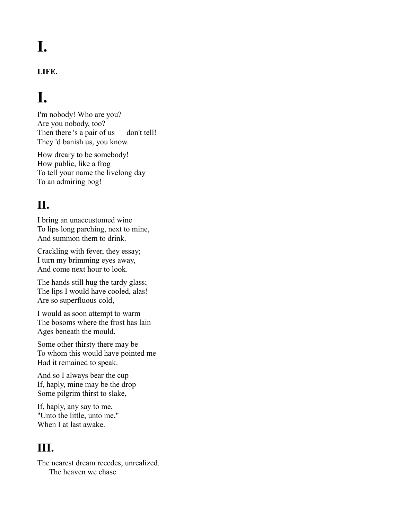# **I.**

#### **LIFE.**

## **I.**

I'm nobody! Who are you? Are you nobody, too? Then there 's a pair of us — don't tell! They 'd banish us, you know.

How dreary to be somebody! How public, like a frog To tell your name the livelong day To an admiring bog!

#### **II.**

I bring an unaccustomed wine To lips long parching, next to mine, And summon them to drink.

Crackling with fever, they essay; I turn my brimming eyes away, And come next hour to look.

The hands still hug the tardy glass; The lips I would have cooled, alas! Are so superfluous cold,

I would as soon attempt to warm The bosoms where the frost has lain Ages beneath the mould.

Some other thirsty there may be To whom this would have pointed me Had it remained to speak.

And so I always bear the cup If, haply, mine may be the drop Some pilgrim thirst to slake, —

If, haply, any say to me, "Unto the little, unto me," When I at last awake.

#### **III.**

The nearest dream recedes, unrealized. The heaven we chase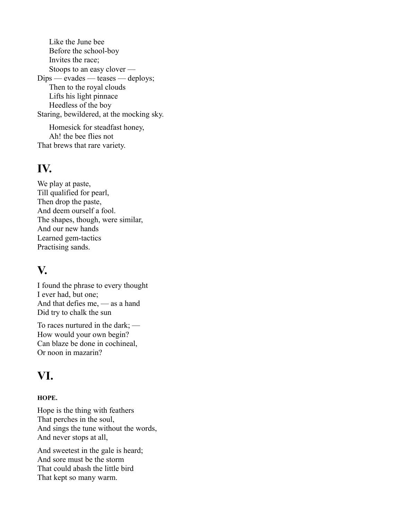Like the June bee Before the school-boy Invites the race; Stoops to an easy clover — Dips — evades — teases — deploys; Then to the royal clouds Lifts his light pinnace Heedless of the boy Staring, bewildered, at the mocking sky.

Homesick for steadfast honey, Ah! the bee flies not That brews that rare variety.

#### **IV.**

We play at paste, Till qualified for pearl, Then drop the paste, And deem ourself a fool. The shapes, though, were similar, And our new hands Learned gem-tactics Practising sands.

#### **V.**

I found the phrase to every thought I ever had, but one; And that defies me, — as a hand Did try to chalk the sun

To races nurtured in the dark; — How would your own begin? Can blaze be done in cochineal, Or noon in mazarin?

#### **VI.**

#### **HOPE.**

Hope is the thing with feathers That perches in the soul, And sings the tune without the words, And never stops at all,

And sweetest in the gale is heard; And sore must be the storm That could abash the little bird That kept so many warm.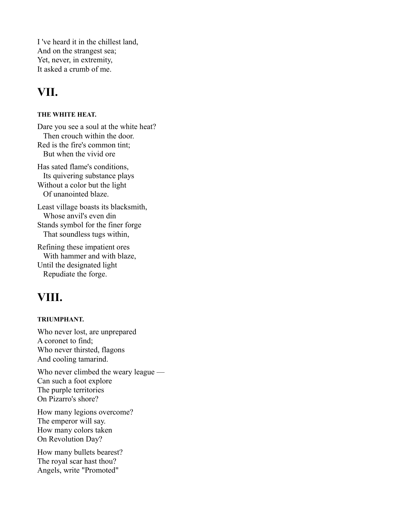I 've heard it in the chillest land, And on the strangest sea; Yet, never, in extremity, It asked a crumb of me.

#### **VII.**

#### **THE WHITE HEAT.**

Dare you see a soul at the white heat? Then crouch within the door. Red is the fire's common tint; But when the vivid ore

Has sated flame's conditions, Its quivering substance plays Without a color but the light Of unanointed blaze.

Least village boasts its blacksmith, Whose anvil's even din Stands symbol for the finer forge That soundless tugs within,

Refining these impatient ores With hammer and with blaze, Until the designated light Repudiate the forge.

#### **VIII.**

#### **TRIUMPHANT.**

Who never lost, are unprepared A coronet to find; Who never thirsted, flagons And cooling tamarind.

Who never climbed the weary league — Can such a foot explore The purple territories On Pizarro's shore?

How many legions overcome? The emperor will say. How many colors taken On Revolution Day?

How many bullets bearest? The royal scar hast thou? Angels, write "Promoted"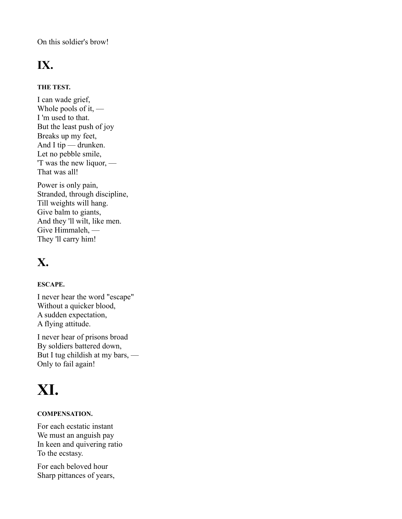On this soldier's brow!

### **IX.**

#### **THE TEST.**

I can wade grief, Whole pools of it,  $-$ I 'm used to that. But the least push of joy Breaks up my feet, And I tip — drunken. Let no pebble smile, 'T was the new liquor, — That was all!

Power is only pain, Stranded, through discipline, Till weights will hang. Give balm to giants, And they 'll wilt, like men. Give Himmaleh, — They 'll carry him!

### **X.**

#### **ESCAPE.**

I never hear the word "escape" Without a quicker blood, A sudden expectation, A flying attitude.

I never hear of prisons broad By soldiers battered down, But I tug childish at my bars, — Only to fail again!

# **XI.**

#### **COMPENSATION.**

For each ecstatic instant We must an anguish pay In keen and quivering ratio To the ecstasy.

For each beloved hour Sharp pittances of years,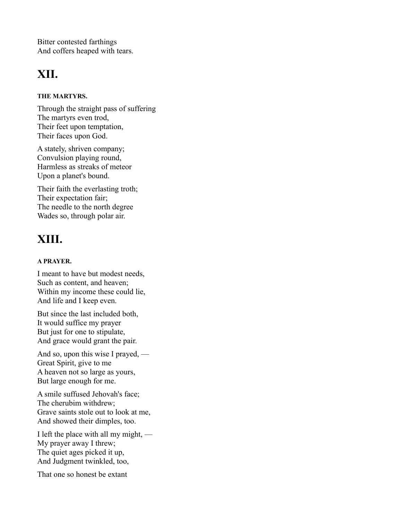Bitter contested farthings And coffers heaped with tears.

### **XII.**

#### **THE MARTYRS.**

Through the straight pass of suffering The martyrs even trod, Their feet upon temptation, Their faces upon God.

A stately, shriven company; Convulsion playing round, Harmless as streaks of meteor Upon a planet's bound.

Their faith the everlasting troth; Their expectation fair; The needle to the north degree Wades so, through polar air.

### **XIII.**

#### **A PRAYER.**

I meant to have but modest needs, Such as content, and heaven; Within my income these could lie, And life and I keep even.

But since the last included both, It would suffice my prayer But just for one to stipulate, And grace would grant the pair.

And so, upon this wise I prayed, — Great Spirit, give to me A heaven not so large as yours, But large enough for me.

A smile suffused Jehovah's face; The cherubim withdrew; Grave saints stole out to look at me, And showed their dimples, too.

I left the place with all my might, — My prayer away I threw; The quiet ages picked it up, And Judgment twinkled, too,

That one so honest be extant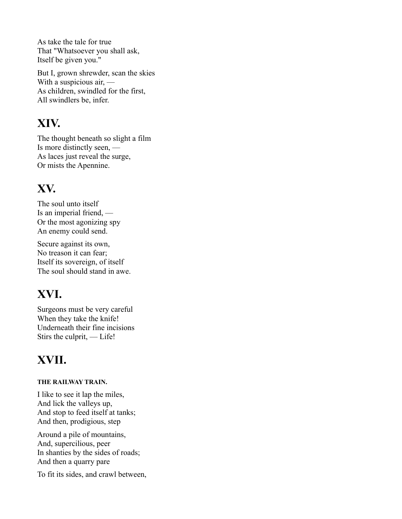As take the tale for true That "Whatsoever you shall ask, Itself be given you."

But I, grown shrewder, scan the skies With a suspicious air, — As children, swindled for the first, All swindlers be, infer.

#### **XIV.**

The thought beneath so slight a film Is more distinctly seen, — As laces just reveal the surge, Or mists the Apennine.

### **XV.**

The soul unto itself Is an imperial friend, — Or the most agonizing spy An enemy could send.

Secure against its own, No treason it can fear; Itself its sovereign, of itself The soul should stand in awe.

### **XVI.**

Surgeons must be very careful When they take the knife! Underneath their fine incisions Stirs the culprit, — Life!

### **XVII.**

#### **THE RAILWAY TRAIN.**

I like to see it lap the miles, And lick the valleys up, And stop to feed itself at tanks; And then, prodigious, step

Around a pile of mountains, And, supercilious, peer In shanties by the sides of roads; And then a quarry pare

To fit its sides, and crawl between,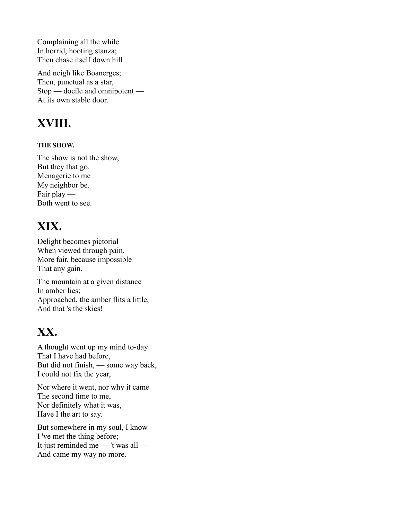Complaining all the while In horrid, hooting stanza; Then chase itself down hill

And neigh like Boanerges; Then, punctual as a star, Stop — docile and omnipotent — At its own stable door.

### **XVIII.**

#### **THE SHOW.**

The show is not the show, But they that go. Menagerie to me My neighbor be. Fair play — Both went to see.

### **XIX.**

Delight becomes pictorial When viewed through pain, — More fair, because impossible That any gain.

The mountain at a given distance In amber lies; Approached, the amber flits a little, — And that 's the skies!

### **XX.**

A thought went up my mind to-day That I have had before, But did not finish, — some way back, I could not fix the year,

Nor where it went, nor why it came The second time to me, Nor definitely what it was, Have I the art to say.

But somewhere in my soul, I know I 've met the thing before; It just reminded me — 't was all — And came my way no more.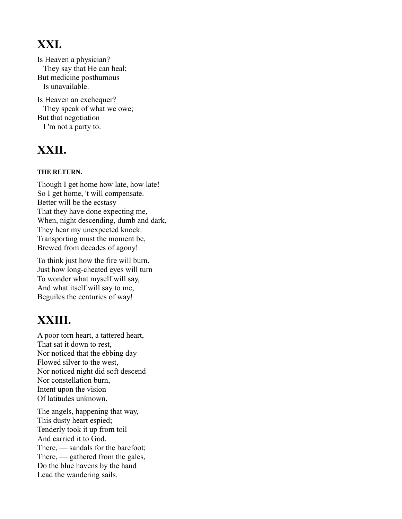### **XXI.**

Is Heaven a physician? They say that He can heal; But medicine posthumous Is unavailable.

Is Heaven an exchequer? They speak of what we owe; But that negotiation I 'm not a party to.

### **XXII.**

#### **THE RETURN.**

Though I get home how late, how late! So I get home, 't will compensate. Better will be the ecstasy That they have done expecting me, When, night descending, dumb and dark, They hear my unexpected knock. Transporting must the moment be, Brewed from decades of agony!

To think just how the fire will burn, Just how long-cheated eyes will turn To wonder what myself will say, And what itself will say to me, Beguiles the centuries of way!

### **XXIII.**

A poor torn heart, a tattered heart, That sat it down to rest, Nor noticed that the ebbing day Flowed silver to the west, Nor noticed night did soft descend Nor constellation burn, Intent upon the vision Of latitudes unknown.

The angels, happening that way, This dusty heart espied; Tenderly took it up from toil And carried it to God. There, — sandals for the barefoot; There, — gathered from the gales, Do the blue havens by the hand Lead the wandering sails.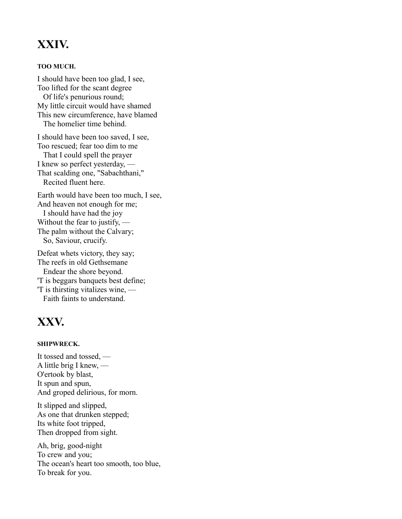#### **XXIV.**

#### **TOO MUCH.**

I should have been too glad, I see, Too lifted for the scant degree Of life's penurious round; My little circuit would have shamed This new circumference, have blamed The homelier time behind.

I should have been too saved, I see, Too rescued; fear too dim to me That I could spell the prayer I knew so perfect yesterday, — That scalding one, "Sabachthani," Recited fluent here.

Earth would have been too much, I see, And heaven not enough for me; I should have had the joy Without the fear to justify, — The palm without the Calvary; So, Saviour, crucify.

Defeat whets victory, they say; The reefs in old Gethsemane Endear the shore beyond. 'T is beggars banquets best define; 'T is thirsting vitalizes wine, — Faith faints to understand.

#### **XXV.**

#### **SHIPWRECK.**

It tossed and tossed, — A little brig I knew, — O'ertook by blast, It spun and spun, And groped delirious, for morn.

It slipped and slipped, As one that drunken stepped; Its white foot tripped, Then dropped from sight.

Ah, brig, good-night To crew and you; The ocean's heart too smooth, too blue, To break for you.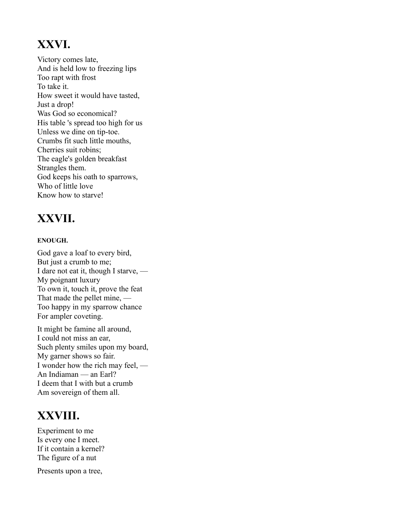### **XXVI.**

Victory comes late, And is held low to freezing lips Too rapt with frost To take it. How sweet it would have tasted, Just a drop! Was God so economical? His table 's spread too high for us Unless we dine on tip-toe. Crumbs fit such little mouths, Cherries suit robins; The eagle's golden breakfast Strangles them. God keeps his oath to sparrows, Who of little love Know how to starve!

### **XXVII.**

#### **ENOUGH.**

God gave a loaf to every bird, But just a crumb to me; I dare not eat it, though I starve, — My poignant luxury To own it, touch it, prove the feat That made the pellet mine, — Too happy in my sparrow chance For ampler coveting.

It might be famine all around, I could not miss an ear, Such plenty smiles upon my board, My garner shows so fair. I wonder how the rich may feel, — An Indiaman — an Earl? I deem that I with but a crumb Am sovereign of them all.

#### **XXVIII.**

Experiment to me Is every one I meet. If it contain a kernel? The figure of a nut

Presents upon a tree,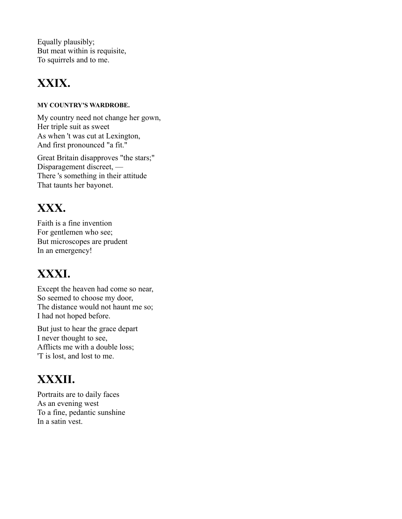Equally plausibly; But meat within is requisite, To squirrels and to me.

### **XXIX.**

#### **MY COUNTRY'S WARDROBE.**

My country need not change her gown, Her triple suit as sweet As when 't was cut at Lexington, And first pronounced "a fit."

Great Britain disapproves "the stars;" Disparagement discreet, — There 's something in their attitude That taunts her bayonet.

### **XXX.**

Faith is a fine invention For gentlemen who see; But microscopes are prudent In an emergency!

### **XXXI.**

Except the heaven had come so near, So seemed to choose my door, The distance would not haunt me so; I had not hoped before.

But just to hear the grace depart I never thought to see, Afflicts me with a double loss; 'T is lost, and lost to me.

### **XXXII.**

Portraits are to daily faces As an evening west To a fine, pedantic sunshine In a satin vest.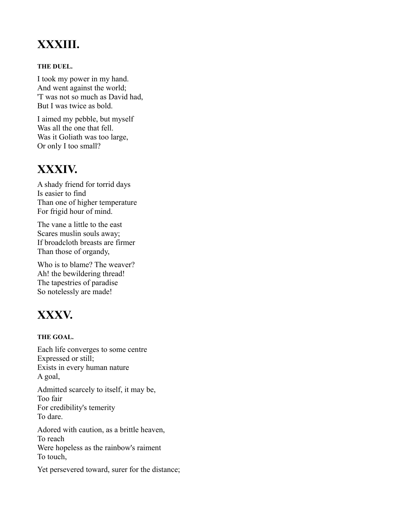### **XXXIII.**

#### **THE DUEL.**

I took my power in my hand. And went against the world; 'T was not so much as David had, But I was twice as bold.

I aimed my pebble, but myself Was all the one that fell. Was it Goliath was too large, Or only I too small?

#### **XXXIV.**

A shady friend for torrid days Is easier to find Than one of higher temperature For frigid hour of mind.

The vane a little to the east Scares muslin souls away; If broadcloth breasts are firmer Than those of organdy,

Who is to blame? The weaver? Ah! the bewildering thread! The tapestries of paradise So notelessly are made!

### **XXXV.**

#### **THE GOAL.**

Each life converges to some centre Expressed or still; Exists in every human nature A goal,

Admitted scarcely to itself, it may be, Too fair For credibility's temerity To dare.

Adored with caution, as a brittle heaven, To reach Were hopeless as the rainbow's raiment To touch,

Yet persevered toward, surer for the distance;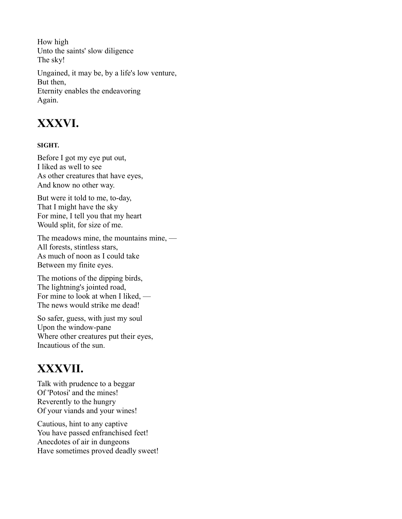How high Unto the saints' slow diligence The sky! Ungained, it may be, by a life's low venture, But then, Eternity enables the endeavoring Again.

#### **XXXVI.**

#### **SIGHT.**

Before I got my eye put out, I liked as well to see As other creatures that have eyes, And know no other way.

But were it told to me, to-day, That I might have the sky For mine, I tell you that my heart Would split, for size of me.

The meadows mine, the mountains mine, — All forests, stintless stars, As much of noon as I could take Between my finite eyes.

The motions of the dipping birds, The lightning's jointed road, For mine to look at when I liked, — The news would strike me dead!

So safer, guess, with just my soul Upon the window-pane Where other creatures put their eyes, Incautious of the sun.

#### **XXXVII.**

Talk with prudence to a beggar Of 'Potosi' and the mines! Reverently to the hungry Of your viands and your wines!

Cautious, hint to any captive You have passed enfranchised feet! Anecdotes of air in dungeons Have sometimes proved deadly sweet!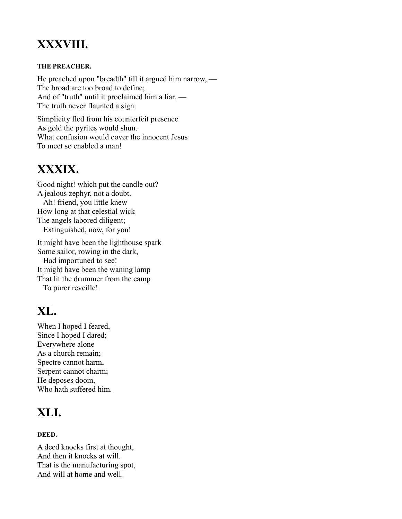### **XXXVIII.**

#### **THE PREACHER.**

He preached upon "breadth" till it argued him narrow, — The broad are too broad to define; And of "truth" until it proclaimed him a liar, — The truth never flaunted a sign.

Simplicity fled from his counterfeit presence As gold the pyrites would shun. What confusion would cover the innocent Jesus To meet so enabled a man!

### **XXXIX.**

Good night! which put the candle out? A jealous zephyr, not a doubt. Ah! friend, you little knew How long at that celestial wick The angels labored diligent; Extinguished, now, for you!

It might have been the lighthouse spark Some sailor, rowing in the dark, Had importuned to see! It might have been the waning lamp That lit the drummer from the camp To purer reveille!

### **XL.**

When I hoped I feared, Since I hoped I dared; Everywhere alone As a church remain; Spectre cannot harm, Serpent cannot charm; He deposes doom, Who hath suffered him.

### **XLI.**

#### **DEED.**

A deed knocks first at thought, And then it knocks at will. That is the manufacturing spot, And will at home and well.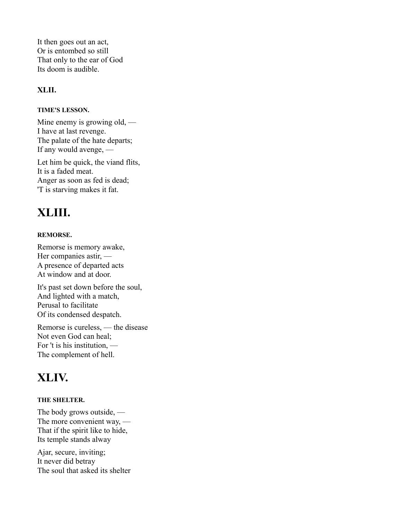It then goes out an act, Or is entombed so still That only to the ear of God Its doom is audible.

#### **XLII.**

#### **TIME'S LESSON.**

Mine enemy is growing old, — I have at last revenge. The palate of the hate departs; If any would avenge, —

Let him be quick, the viand flits, It is a faded meat. Anger as soon as fed is dead; 'T is starving makes it fat.

### **XLIII.**

#### **REMORSE.**

Remorse is memory awake, Her companies astir, — A presence of departed acts At window and at door.

It's past set down before the soul, And lighted with a match, Perusal to facilitate Of its condensed despatch.

Remorse is cureless, — the disease Not even God can heal; For 't is his institution, — The complement of hell.

### **XLIV.**

#### **THE SHELTER.**

The body grows outside, — The more convenient way, — That if the spirit like to hide, Its temple stands alway

Ajar, secure, inviting; It never did betray The soul that asked its shelter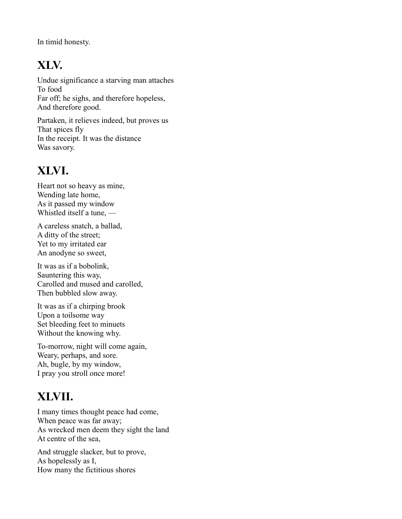In timid honesty.

### **XLV.**

Undue significance a starving man attaches To food Far off; he sighs, and therefore hopeless, And therefore good.

Partaken, it relieves indeed, but proves us That spices fly In the receipt. It was the distance Was savory.

### **XLVI.**

Heart not so heavy as mine, Wending late home, As it passed my window Whistled itself a tune, —

A careless snatch, a ballad, A ditty of the street; Yet to my irritated ear An anodyne so sweet,

It was as if a bobolink, Sauntering this way, Carolled and mused and carolled, Then bubbled slow away.

It was as if a chirping brook Upon a toilsome way Set bleeding feet to minuets Without the knowing why.

To-morrow, night will come again, Weary, perhaps, and sore. Ah, bugle, by my window, I pray you stroll once more!

### **XLVII.**

I many times thought peace had come, When peace was far away; As wrecked men deem they sight the land At centre of the sea,

And struggle slacker, but to prove, As hopelessly as I, How many the fictitious shores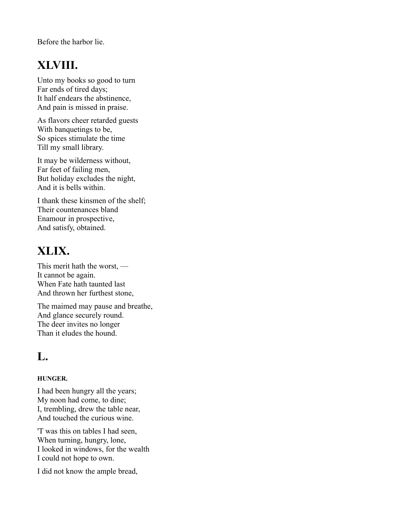Before the harbor lie.

### **XLVIII.**

Unto my books so good to turn Far ends of tired days; It half endears the abstinence, And pain is missed in praise.

As flavors cheer retarded guests With banquetings to be, So spices stimulate the time Till my small library.

It may be wilderness without, Far feet of failing men, But holiday excludes the night, And it is bells within.

I thank these kinsmen of the shelf; Their countenances bland Enamour in prospective, And satisfy, obtained.

### **XLIX.**

This merit hath the worst, — It cannot be again. When Fate hath taunted last And thrown her furthest stone,

The maimed may pause and breathe, And glance securely round. The deer invites no longer Than it eludes the hound.

### **L.**

#### **HUNGER.**

I had been hungry all the years; My noon had come, to dine; I, trembling, drew the table near, And touched the curious wine.

'T was this on tables I had seen, When turning, hungry, lone, I looked in windows, for the wealth I could not hope to own.

I did not know the ample bread,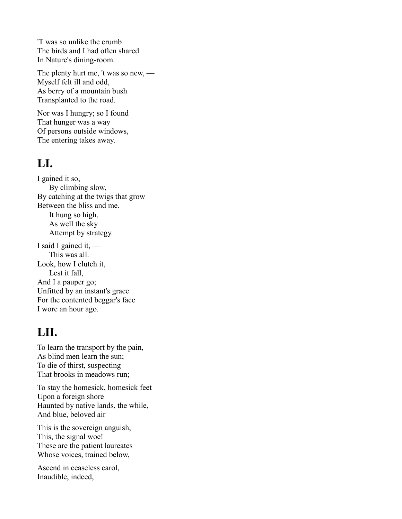'T was so unlike the crumb The birds and I had often shared In Nature's dining-room.

The plenty hurt me, 't was so new, — Myself felt ill and odd, As berry of a mountain bush Transplanted to the road.

Nor was I hungry; so I found That hunger was a way Of persons outside windows, The entering takes away.

#### **LI.**

I gained it so, By climbing slow, By catching at the twigs that grow Between the bliss and me. It hung so high, As well the sky Attempt by strategy. I said I gained it, — This was all. Look, how I clutch it, Lest it fall, And I a pauper go; Unfitted by an instant's grace

For the contented beggar's face I wore an hour ago.

### **LII.**

To learn the transport by the pain, As blind men learn the sun; To die of thirst, suspecting That brooks in meadows run;

To stay the homesick, homesick feet Upon a foreign shore Haunted by native lands, the while, And blue, beloved air —

This is the sovereign anguish, This, the signal woe! These are the patient laureates Whose voices, trained below,

Ascend in ceaseless carol, Inaudible, indeed,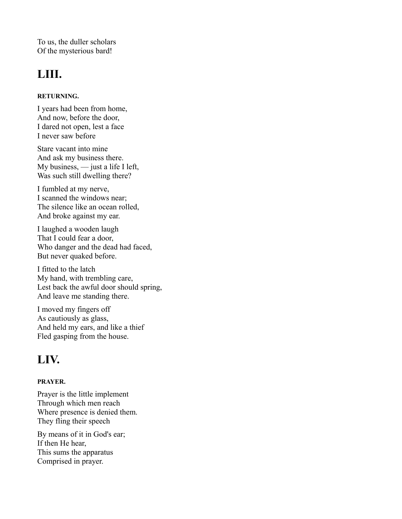To us, the duller scholars Of the mysterious bard!

### **LIII.**

#### **RETURNING.**

I years had been from home, And now, before the door, I dared not open, lest a face I never saw before

Stare vacant into mine And ask my business there. My business, — just a life I left, Was such still dwelling there?

I fumbled at my nerve, I scanned the windows near; The silence like an ocean rolled, And broke against my ear.

I laughed a wooden laugh That I could fear a door, Who danger and the dead had faced, But never quaked before.

I fitted to the latch My hand, with trembling care, Lest back the awful door should spring, And leave me standing there.

I moved my fingers off As cautiously as glass, And held my ears, and like a thief Fled gasping from the house.

### **LIV.**

#### **PRAYER.**

Prayer is the little implement Through which men reach Where presence is denied them. They fling their speech

By means of it in God's ear; If then He hear, This sums the apparatus Comprised in prayer.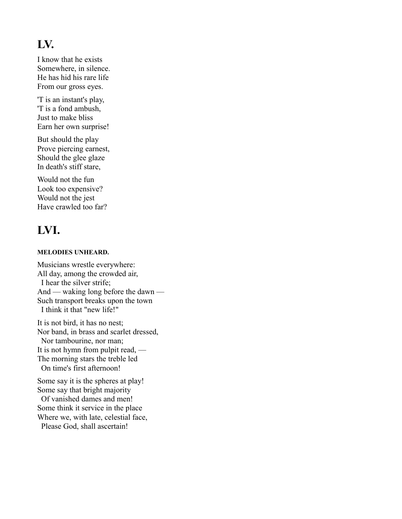#### **LV.**

I know that he exists Somewhere, in silence. He has hid his rare life From our gross eyes.

'T is an instant's play, 'T is a fond ambush, Just to make bliss Earn her own surprise!

But should the play Prove piercing earnest, Should the glee glaze In death's stiff stare,

Would not the fun Look too expensive? Would not the jest Have crawled too far?

### **LVI.**

#### **MELODIES UNHEARD.**

Musicians wrestle everywhere: All day, among the crowded air, I hear the silver strife; And — waking long before the dawn — Such transport breaks upon the town I think it that "new life!"

It is not bird, it has no nest; Nor band, in brass and scarlet dressed, Nor tambourine, nor man; It is not hymn from pulpit read, — The morning stars the treble led On time's first afternoon!

Some say it is the spheres at play! Some say that bright majority Of vanished dames and men! Some think it service in the place Where we, with late, celestial face, Please God, shall ascertain!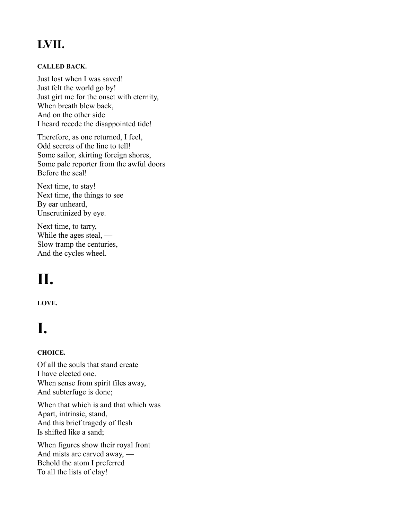### **LVII.**

#### **CALLED BACK.**

Just lost when I was saved! Just felt the world go by! Just girt me for the onset with eternity, When breath blew back, And on the other side I heard recede the disappointed tide!

Therefore, as one returned, I feel, Odd secrets of the line to tell! Some sailor, skirting foreign shores, Some pale reporter from the awful doors Before the seal!

Next time, to stay! Next time, the things to see By ear unheard, Unscrutinized by eye.

Next time, to tarry, While the ages steal, — Slow tramp the centuries, And the cycles wheel.

# **II.**

**LOVE.**

# **I.**

#### **CHOICE.**

Of all the souls that stand create I have elected one. When sense from spirit files away, And subterfuge is done;

When that which is and that which was Apart, intrinsic, stand, And this brief tragedy of flesh Is shifted like a sand;

When figures show their royal front And mists are carved away, — Behold the atom I preferred To all the lists of clay!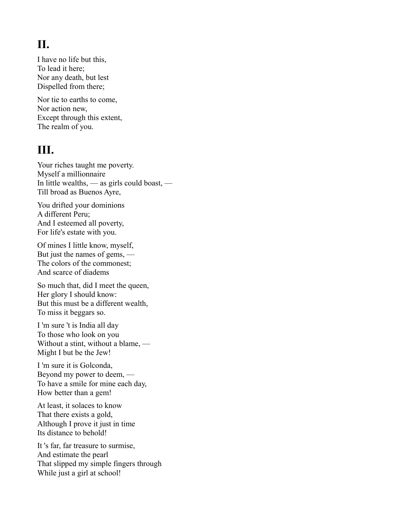### **II.**

I have no life but this, To lead it here; Nor any death, but lest Dispelled from there;

Nor tie to earths to come, Nor action new, Except through this extent, The realm of you.

#### **III.**

Your riches taught me poverty. Myself a millionnaire In little wealths, — as girls could boast, — Till broad as Buenos Ayre,

You drifted your dominions A different Peru; And I esteemed all poverty, For life's estate with you.

Of mines I little know, myself, But just the names of gems, — The colors of the commonest; And scarce of diadems

So much that, did I meet the queen, Her glory I should know: But this must be a different wealth, To miss it beggars so.

I 'm sure 't is India all day To those who look on you Without a stint, without a blame, — Might I but be the Jew!

I 'm sure it is Golconda, Beyond my power to deem, — To have a smile for mine each day, How better than a gem!

At least, it solaces to know That there exists a gold, Although I prove it just in time Its distance to behold!

It 's far, far treasure to surmise, And estimate the pearl That slipped my simple fingers through While just a girl at school!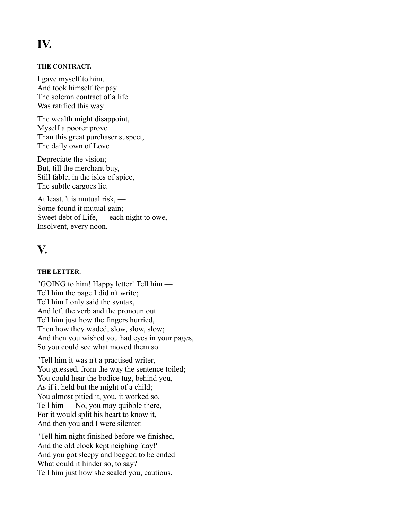### **IV.**

#### **THE CONTRACT.**

I gave myself to him, And took himself for pay. The solemn contract of a life Was ratified this way.

The wealth might disappoint, Myself a poorer prove Than this great purchaser suspect, The daily own of Love

Depreciate the vision; But, till the merchant buy, Still fable, in the isles of spice, The subtle cargoes lie.

At least, 't is mutual risk, — Some found it mutual gain; Sweet debt of Life, — each night to owe, Insolvent, every noon.

#### **V.**

#### **THE LETTER.**

"GOING to him! Happy letter! Tell him — Tell him the page I did n't write; Tell him I only said the syntax, And left the verb and the pronoun out. Tell him just how the fingers hurried, Then how they waded, slow, slow, slow; And then you wished you had eyes in your pages, So you could see what moved them so.

"Tell him it was n't a practised writer, You guessed, from the way the sentence toiled; You could hear the bodice tug, behind you, As if it held but the might of a child; You almost pitied it, you, it worked so. Tell him — No, you may quibble there, For it would split his heart to know it, And then you and I were silenter.

"Tell him night finished before we finished, And the old clock kept neighing 'day!' And you got sleepy and begged to be ended — What could it hinder so, to say? Tell him just how she sealed you, cautious,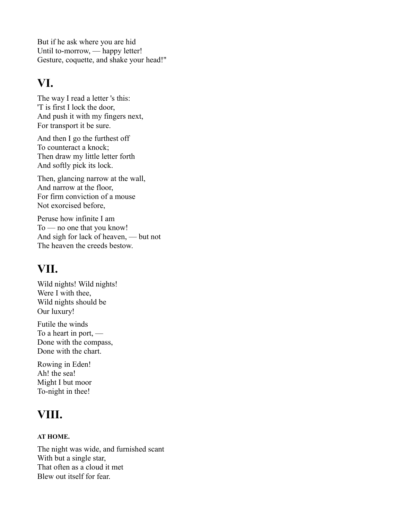But if he ask where you are hid Until to-morrow, — happy letter! Gesture, coquette, and shake your head!"

#### **VI.**

The way I read a letter 's this: 'T is first I lock the door, And push it with my fingers next, For transport it be sure.

And then I go the furthest off To counteract a knock; Then draw my little letter forth And softly pick its lock.

Then, glancing narrow at the wall, And narrow at the floor, For firm conviction of a mouse Not exorcised before,

Peruse how infinite I am To — no one that you know! And sigh for lack of heaven, — but not The heaven the creeds bestow.

### **VII.**

Wild nights! Wild nights! Were I with thee, Wild nights should be Our luxury!

Futile the winds To a heart in port, — Done with the compass, Done with the chart.

Rowing in Eden! Ah! the sea! Might I but moor To-night in thee!

### **VIII.**

#### **AT HOME.**

The night was wide, and furnished scant With but a single star, That often as a cloud it met Blew out itself for fear.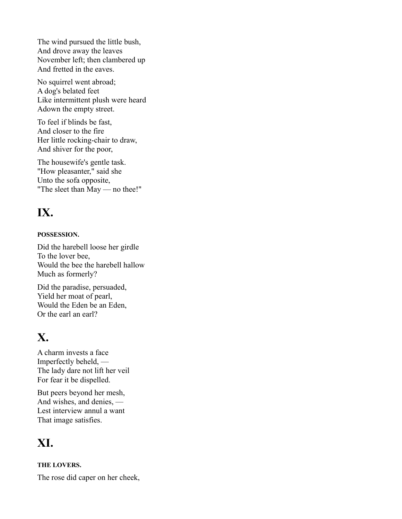The wind pursued the little bush, And drove away the leaves November left; then clambered up And fretted in the eaves.

No squirrel went abroad; A dog's belated feet Like intermittent plush were heard Adown the empty street.

To feel if blinds be fast, And closer to the fire Her little rocking-chair to draw, And shiver for the poor,

The housewife's gentle task. "How pleasanter," said she Unto the sofa opposite, "The sleet than May — no thee!"

### **IX.**

#### **POSSESSION.**

Did the harebell loose her girdle To the lover bee, Would the bee the harebell hallow Much as formerly?

Did the paradise, persuaded, Yield her moat of pearl, Would the Eden be an Eden, Or the earl an earl?

### **X.**

A charm invests a face Imperfectly beheld, — The lady dare not lift her veil For fear it be dispelled.

But peers beyond her mesh, And wishes, and denies, — Lest interview annul a want That image satisfies.

### **XI.**

#### **THE LOVERS.**

The rose did caper on her cheek,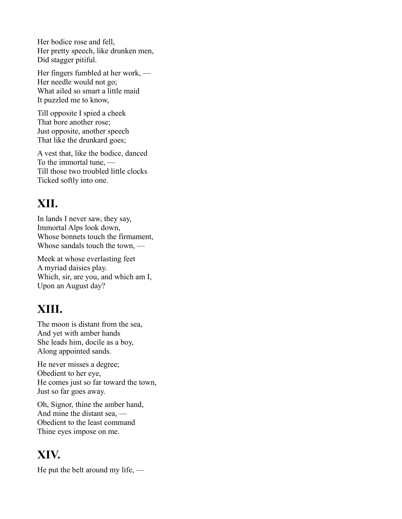Her bodice rose and fell, Her pretty speech, like drunken men, Did stagger pitiful.

Her fingers fumbled at her work, — Her needle would not go; What ailed so smart a little maid It puzzled me to know,

Till opposite I spied a cheek That bore another rose; Just opposite, another speech That like the drunkard goes;

A vest that, like the bodice, danced To the immortal tune, — Till those two troubled little clocks Ticked softly into one.

### **XII.**

In lands I never saw, they say, Immortal Alps look down, Whose bonnets touch the firmament, Whose sandals touch the town, —

Meek at whose everlasting feet A myriad daisies play. Which, sir, are you, and which am I, Upon an August day?

#### **XIII.**

The moon is distant from the sea, And yet with amber hands She leads him, docile as a boy, Along appointed sands.

He never misses a degree; Obedient to her eye, He comes just so far toward the town, Just so far goes away.

Oh, Signor, thine the amber hand, And mine the distant sea, — Obedient to the least command Thine eyes impose on me.

#### **XIV.**

He put the belt around my life, —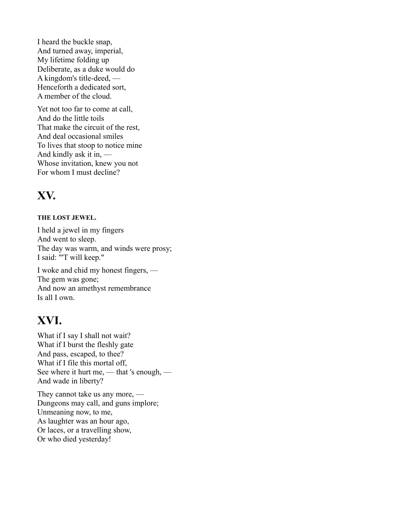I heard the buckle snap, And turned away, imperial, My lifetime folding up Deliberate, as a duke would do A kingdom's title-deed, — Henceforth a dedicated sort, A member of the cloud.

Yet not too far to come at call, And do the little toils That make the circuit of the rest, And deal occasional smiles To lives that stoop to notice mine And kindly ask it in, — Whose invitation, knew you not For whom I must decline?

#### **XV.**

#### **THE LOST JEWEL.**

I held a jewel in my fingers And went to sleep. The day was warm, and winds were prosy; I said: "'T will keep."

I woke and chid my honest fingers, — The gem was gone; And now an amethyst remembrance Is all I own.

#### **XVI.**

What if I say I shall not wait? What if I burst the fleshly gate And pass, escaped, to thee? What if I file this mortal off, See where it hurt me, — that 's enough, — And wade in liberty?

They cannot take us any more, — Dungeons may call, and guns implore; Unmeaning now, to me, As laughter was an hour ago, Or laces, or a travelling show, Or who died yesterday!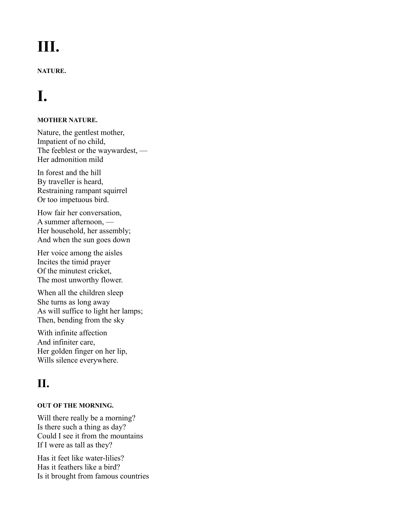# **III.**

#### **NATURE.**

# **I.**

#### **MOTHER NATURE.**

Nature, the gentlest mother, Impatient of no child, The feeblest or the waywardest, — Her admonition mild

In forest and the hill By traveller is heard, Restraining rampant squirrel Or too impetuous bird.

How fair her conversation, A summer afternoon, — Her household, her assembly; And when the sun goes down

Her voice among the aisles Incites the timid prayer Of the minutest cricket, The most unworthy flower.

When all the children sleep She turns as long away As will suffice to light her lamps; Then, bending from the sky

With infinite affection And infiniter care, Her golden finger on her lip, Wills silence everywhere.

### **II.**

#### **OUT OF THE MORNING.**

Will there really be a morning? Is there such a thing as day? Could I see it from the mountains If I were as tall as they?

Has it feet like water-lilies? Has it feathers like a bird? Is it brought from famous countries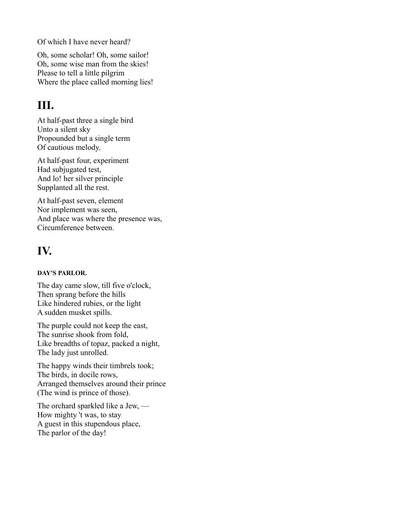Of which I have never heard?

Oh, some scholar! Oh, some sailor! Oh, some wise man from the skies! Please to tell a little pilgrim Where the place called morning lies!

### **III.**

At half-past three a single bird Unto a silent sky Propounded but a single term Of cautious melody.

At half-past four, experiment Had subjugated test, And lo! her silver principle Supplanted all the rest.

At half-past seven, element Nor implement was seen, And place was where the presence was, Circumference between.

### **IV.**

#### **DAY'S PARLOR.**

The day came slow, till five o'clock, Then sprang before the hills Like hindered rubies, or the light A sudden musket spills.

The purple could not keep the east, The sunrise shook from fold, Like breadths of topaz, packed a night, The lady just unrolled.

The happy winds their timbrels took; The birds, in docile rows, Arranged themselves around their prince (The wind is prince of those).

The orchard sparkled like a Jew, — How mighty 't was, to stay A guest in this stupendous place, The parlor of the day!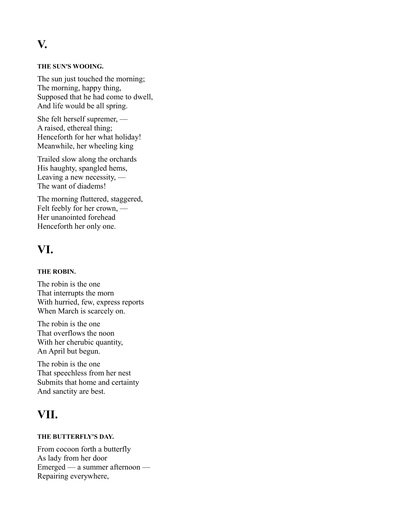**V.**

#### **THE SUN'S WOOING.**

The sun just touched the morning; The morning, happy thing, Supposed that he had come to dwell, And life would be all spring.

She felt herself supremer, — A raised, ethereal thing; Henceforth for her what holiday! Meanwhile, her wheeling king

Trailed slow along the orchards His haughty, spangled hems, Leaving a new necessity, — The want of diadems!

The morning fluttered, staggered, Felt feebly for her crown, — Her unanointed forehead Henceforth her only one.

#### **VI.**

#### **THE ROBIN.**

The robin is the one That interrupts the morn With hurried, few, express reports When March is scarcely on.

The robin is the one That overflows the noon With her cherubic quantity, An April but begun.

The robin is the one That speechless from her nest Submits that home and certainty And sanctity are best.

#### **VII.**

#### **THE BUTTERFLY'S DAY.**

From cocoon forth a butterfly As lady from her door Emerged — a summer afternoon — Repairing everywhere,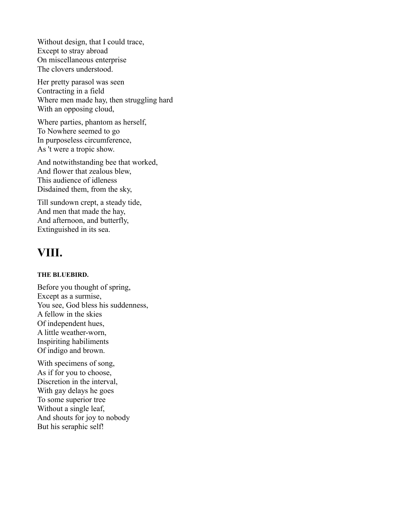Without design, that I could trace, Except to stray abroad On miscellaneous enterprise The clovers understood.

Her pretty parasol was seen Contracting in a field Where men made hay, then struggling hard With an opposing cloud,

Where parties, phantom as herself, To Nowhere seemed to go In purposeless circumference, As 't were a tropic show.

And notwithstanding bee that worked, And flower that zealous blew, This audience of idleness Disdained them, from the sky,

Till sundown crept, a steady tide, And men that made the hay, And afternoon, and butterfly, Extinguished in its sea.

#### **VIII.**

#### **THE BLUEBIRD.**

Before you thought of spring, Except as a surmise, You see, God bless his suddenness, A fellow in the skies Of independent hues, A little weather-worn, Inspiriting habiliments Of indigo and brown.

With specimens of song, As if for you to choose, Discretion in the interval, With gay delays he goes To some superior tree Without a single leaf, And shouts for joy to nobody But his seraphic self!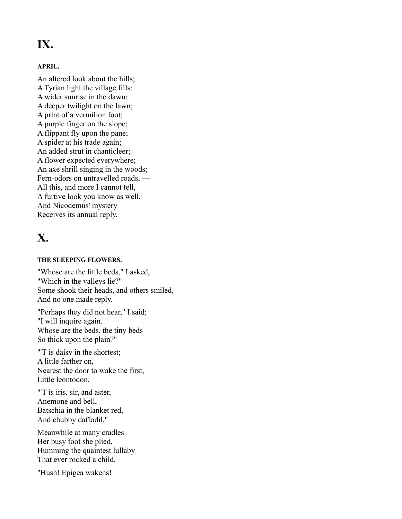### **IX.**

#### **APRIL.**

An altered look about the hills; A Tyrian light the village fills; A wider sunrise in the dawn; A deeper twilight on the lawn; A print of a vermilion foot; A purple finger on the slope; A flippant fly upon the pane; A spider at his trade again; An added strut in chanticleer; A flower expected everywhere; An axe shrill singing in the woods; Fern-odors on untravelled roads, — All this, and more I cannot tell, A furtive look you know as well, And Nicodemus' mystery Receives its annual reply.

#### **X.**

#### **THE SLEEPING FLOWERS.**

"Whose are the little beds," I asked, "Which in the valleys lie?" Some shook their heads, and others smiled, And no one made reply.

"Perhaps they did not hear," I said; "I will inquire again. Whose are the beds, the tiny beds So thick upon the plain?"

"'T is daisy in the shortest;

A little farther on, Nearest the door to wake the first, Little leontodon.

"'T is iris, sir, and aster, Anemone and bell, Batschia in the blanket red, And chubby daffodil."

Meanwhile at many cradles Her busy foot she plied, Humming the quaintest lullaby That ever rocked a child.

"Hush! Epigea wakens! —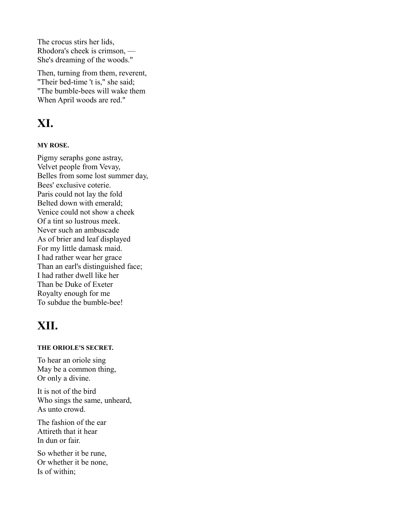The crocus stirs her lids, Rhodora's cheek is crimson, — She's dreaming of the woods."

Then, turning from them, reverent, "Their bed-time 't is," she said; "The bumble-bees will wake them When April woods are red."

#### **XI.**

#### **MY ROSE.**

Pigmy seraphs gone astray, Velvet people from Vevay, Belles from some lost summer day, Bees' exclusive coterie. Paris could not lay the fold Belted down with emerald; Venice could not show a cheek Of a tint so lustrous meek. Never such an ambuscade As of brier and leaf displayed For my little damask maid. I had rather wear her grace Than an earl's distinguished face; I had rather dwell like her Than be Duke of Exeter Royalty enough for me To subdue the bumble-bee!

#### **XII.**

#### **THE ORIOLE'S SECRET.**

To hear an oriole sing May be a common thing, Or only a divine.

It is not of the bird Who sings the same, unheard, As unto crowd.

The fashion of the ear Attireth that it hear In dun or fair.

So whether it be rune, Or whether it be none, Is of within;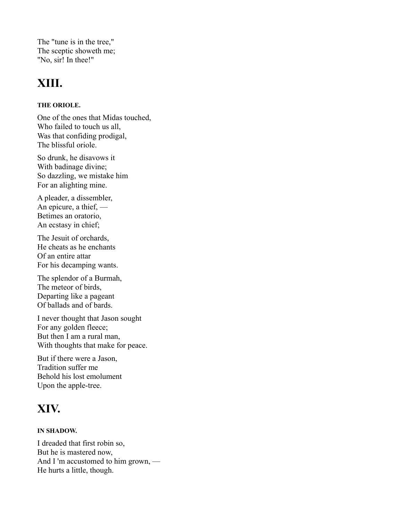The "tune is in the tree," The sceptic showeth me; "No, sir! In thee!"

#### **XIII.**

#### **THE ORIOLE.**

One of the ones that Midas touched, Who failed to touch us all, Was that confiding prodigal, The blissful oriole.

So drunk, he disavows it With badinage divine; So dazzling, we mistake him For an alighting mine.

A pleader, a dissembler, An epicure, a thief, — Betimes an oratorio, An ecstasy in chief;

The Jesuit of orchards, He cheats as he enchants Of an entire attar For his decamping wants.

The splendor of a Burmah, The meteor of birds, Departing like a pageant Of ballads and of bards.

I never thought that Jason sought For any golden fleece; But then I am a rural man, With thoughts that make for peace.

But if there were a Jason, Tradition suffer me Behold his lost emolument Upon the apple-tree.

### **XIV.**

#### **IN SHADOW.**

I dreaded that first robin so, But he is mastered now, And I 'm accustomed to him grown, — He hurts a little, though.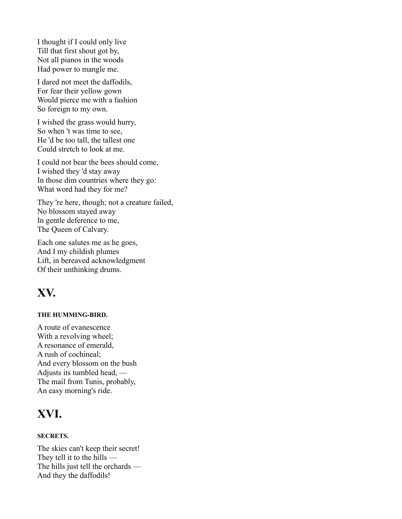I thought if I could only live Till that first shout got by, Not all pianos in the woods Had power to mangle me.

I dared not meet the daffodils, For fear their yellow gown Would pierce me with a fashion So foreign to my own.

I wished the grass would hurry, So when 't was time to see, He 'd be too tall, the tallest one Could stretch to look at me.

I could not bear the bees should come, I wished they 'd stay away In those dim countries where they go: What word had they for me?

They 're here, though; not a creature failed, No blossom stayed away In gentle deference to me, The Queen of Calvary.

Each one salutes me as he goes, And I my childish plumes Lift, in bereaved acknowledgment Of their unthinking drums.

#### **XV.**

#### **THE HUMMING-BIRD.**

A route of evanescence With a revolving wheel; A resonance of emerald, A rush of cochineal; And every blossom on the bush Adjusts its tumbled head, — The mail from Tunis, probably, An easy morning's ride.

#### **XVI.**

#### **SECRETS.**

The skies can't keep their secret! They tell it to the hills — The hills just tell the orchards — And they the daffodils!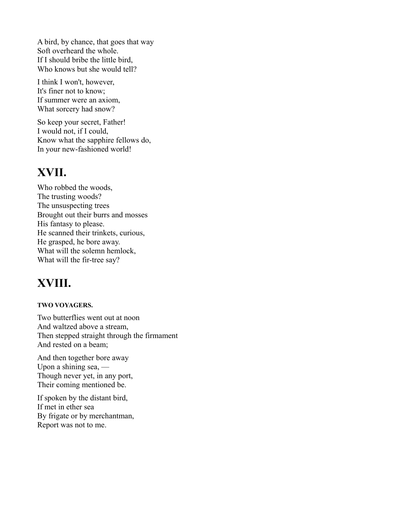A bird, by chance, that goes that way Soft overheard the whole. If I should bribe the little bird, Who knows but she would tell?

I think I won't, however, It's finer not to know; If summer were an axiom, What sorcery had snow?

So keep your secret, Father! I would not, if I could, Know what the sapphire fellows do, In your new-fashioned world!

#### **XVII.**

Who robbed the woods, The trusting woods? The unsuspecting trees Brought out their burrs and mosses His fantasy to please. He scanned their trinkets, curious, He grasped, he bore away. What will the solemn hemlock, What will the fir-tree say?

### **XVIII.**

#### **TWO VOYAGERS.**

Two butterflies went out at noon And waltzed above a stream, Then stepped straight through the firmament And rested on a beam;

And then together bore away Upon a shining sea, — Though never yet, in any port, Their coming mentioned be.

If spoken by the distant bird, If met in ether sea By frigate or by merchantman, Report was not to me.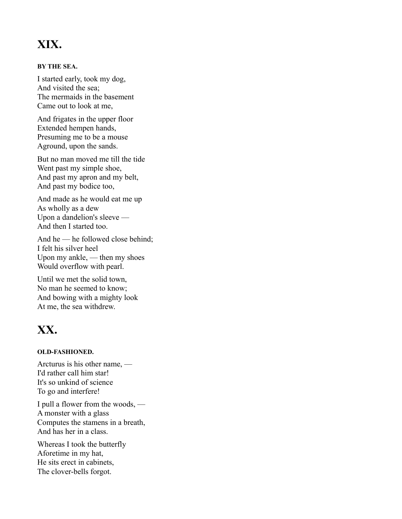### **XIX.**

#### **BY THE SEA.**

I started early, took my dog, And visited the sea; The mermaids in the basement Came out to look at me,

And frigates in the upper floor Extended hempen hands, Presuming me to be a mouse Aground, upon the sands.

But no man moved me till the tide Went past my simple shoe, And past my apron and my belt, And past my bodice too,

And made as he would eat me up As wholly as a dew Upon a dandelion's sleeve — And then I started too.

And he — he followed close behind; I felt his silver heel Upon my ankle, — then my shoes Would overflow with pearl.

Until we met the solid town, No man he seemed to know; And bowing with a mighty look At me, the sea withdrew.

### **XX.**

#### **OLD-FASHIONED.**

Arcturus is his other name, — I'd rather call him star! It's so unkind of science To go and interfere!

I pull a flower from the woods, — A monster with a glass Computes the stamens in a breath, And has her in a class.

Whereas I took the butterfly Aforetime in my hat, He sits erect in cabinets, The clover-bells forgot.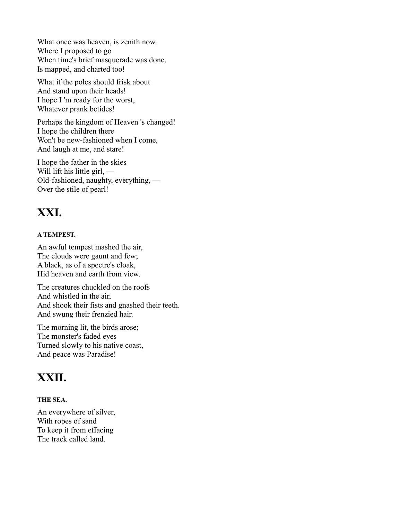What once was heaven, is zenith now. Where I proposed to go When time's brief masquerade was done, Is mapped, and charted too!

What if the poles should frisk about And stand upon their heads! I hope I 'm ready for the worst, Whatever prank betides!

Perhaps the kingdom of Heaven 's changed! I hope the children there Won't be new-fashioned when I come, And laugh at me, and stare!

I hope the father in the skies Will lift his little girl, — Old-fashioned, naughty, everything, — Over the stile of pearl!

### **XXI.**

#### **A TEMPEST.**

An awful tempest mashed the air, The clouds were gaunt and few; A black, as of a spectre's cloak, Hid heaven and earth from view.

The creatures chuckled on the roofs And whistled in the air, And shook their fists and gnashed their teeth. And swung their frenzied hair.

The morning lit, the birds arose; The monster's faded eyes Turned slowly to his native coast, And peace was Paradise!

#### **XXII.**

#### **THE SEA.**

An everywhere of silver, With ropes of sand To keep it from effacing The track called land.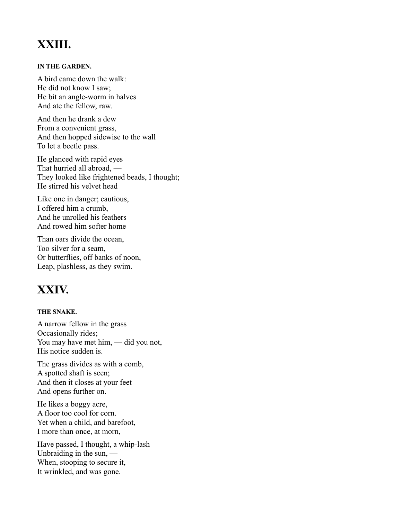### **XXIII.**

#### **IN THE GARDEN.**

A bird came down the walk: He did not know I saw; He bit an angle-worm in halves And ate the fellow, raw.

And then he drank a dew From a convenient grass, And then hopped sidewise to the wall To let a beetle pass.

He glanced with rapid eyes That hurried all abroad, — They looked like frightened beads, I thought; He stirred his velvet head

Like one in danger; cautious, I offered him a crumb, And he unrolled his feathers And rowed him softer home

Than oars divide the ocean, Too silver for a seam, Or butterflies, off banks of noon, Leap, plashless, as they swim.

### **XXIV.**

#### **THE SNAKE.**

A narrow fellow in the grass Occasionally rides; You may have met him, — did you not, His notice sudden is.

The grass divides as with a comb, A spotted shaft is seen; And then it closes at your feet And opens further on.

He likes a boggy acre, A floor too cool for corn. Yet when a child, and barefoot, I more than once, at morn,

Have passed, I thought, a whip-lash Unbraiding in the sun, — When, stooping to secure it, It wrinkled, and was gone.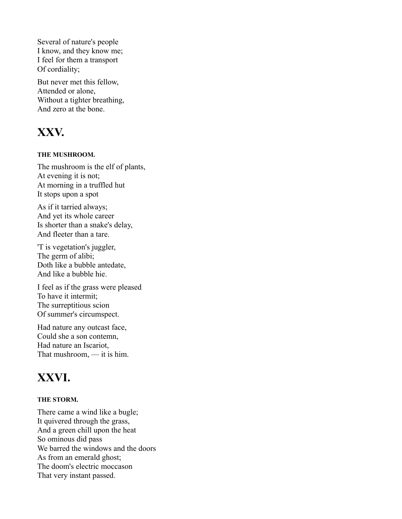Several of nature's people I know, and they know me; I feel for them a transport Of cordiality;

But never met this fellow, Attended or alone, Without a tighter breathing, And zero at the bone.

### **XXV.**

#### **THE MUSHROOM.**

The mushroom is the elf of plants, At evening it is not; At morning in a truffled hut It stops upon a spot

As if it tarried always; And yet its whole career Is shorter than a snake's delay, And fleeter than a tare.

'T is vegetation's juggler, The germ of alibi; Doth like a bubble antedate, And like a bubble hie.

I feel as if the grass were pleased To have it intermit; The surreptitious scion Of summer's circumspect.

Had nature any outcast face, Could she a son contemn, Had nature an Iscariot, That mushroom, — it is him.

### **XXVI.**

#### **THE STORM.**

There came a wind like a bugle; It quivered through the grass, And a green chill upon the heat So ominous did pass We barred the windows and the doors As from an emerald ghost; The doom's electric moccason That very instant passed.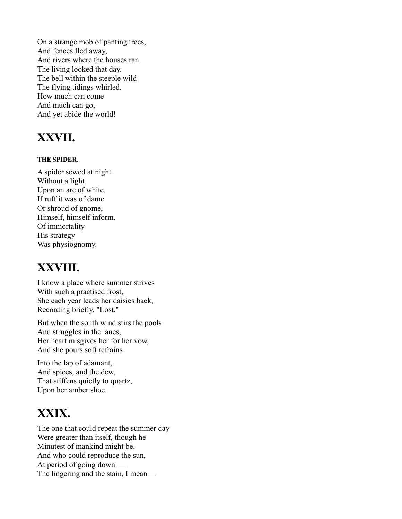On a strange mob of panting trees, And fences fled away, And rivers where the houses ran The living looked that day. The bell within the steeple wild The flying tidings whirled. How much can come And much can go, And yet abide the world!

### **XXVII.**

#### **THE SPIDER.**

A spider sewed at night Without a light Upon an arc of white. If ruff it was of dame Or shroud of gnome, Himself, himself inform. Of immortality His strategy Was physiognomy.

#### **XXVIII.**

I know a place where summer strives With such a practised frost, She each year leads her daisies back, Recording briefly, "Lost."

But when the south wind stirs the pools And struggles in the lanes, Her heart misgives her for her vow, And she pours soft refrains

Into the lap of adamant, And spices, and the dew, That stiffens quietly to quartz, Upon her amber shoe.

### **XXIX.**

The one that could repeat the summer day Were greater than itself, though he Minutest of mankind might be. And who could reproduce the sun, At period of going down — The lingering and the stain, I mean —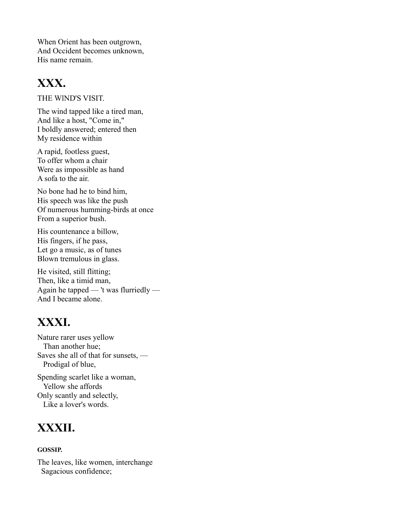When Orient has been outgrown, And Occident becomes unknown, His name remain.

#### **XXX.**

THE WlND'S VISIT.

The wind tapped like a tired man, And like a host, "Come in," I boldly answered; entered then My residence within

A rapid, footless guest, To offer whom a chair Were as impossible as hand A sofa to the air.

No bone had he to bind him, His speech was like the push Of numerous humming-birds at once From a superior bush.

His countenance a billow, His fingers, if he pass, Let go a music, as of tunes Blown tremulous in glass.

He visited, still flitting; Then, like a timid man, Again he tapped — 't was flurriedly — And I became alone.

### **XXXI.**

Nature rarer uses yellow Than another hue; Saves she all of that for sunsets, — Prodigal of blue,

Spending scarlet like a woman, Yellow she affords Only scantly and selectly, Like a lover's words.

### **XXXII.**

#### **GOSSIP.**

The leaves, like women, interchange Sagacious confidence;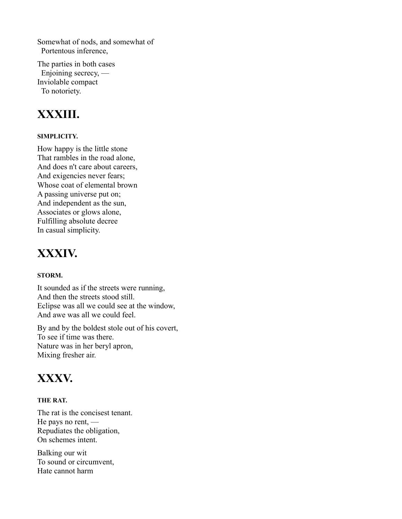Somewhat of nods, and somewhat of Portentous inference,

The parties in both cases Enjoining secrecy, — Inviolable compact To notoriety.

#### **XXXIII.**

#### **SIMPLICITY.**

How happy is the little stone That rambles in the road alone, And does n't care about careers, And exigencies never fears; Whose coat of elemental brown A passing universe put on; And independent as the sun, Associates or glows alone, Fulfilling absolute decree In casual simplicity.

#### **XXXIV.**

#### **STORM.**

It sounded as if the streets were running, And then the streets stood still. Eclipse was all we could see at the window, And awe was all we could feel.

By and by the boldest stole out of his covert, To see if time was there. Nature was in her beryl apron, Mixing fresher air.

#### **XXXV.**

#### **THE RAT.**

The rat is the concisest tenant. He pays no rent, — Repudiates the obligation, On schemes intent.

Balking our wit To sound or circumvent, Hate cannot harm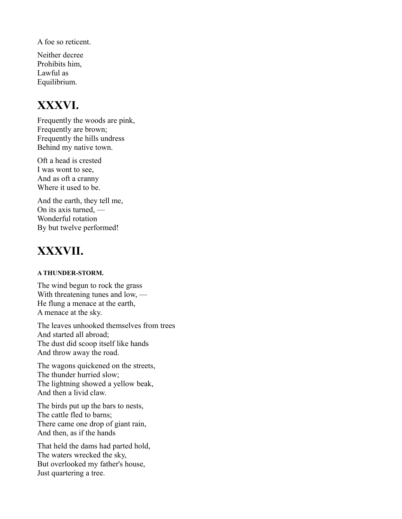A foe so reticent.

Neither decree Prohibits him, Lawful as Equilibrium.

### **XXXVI.**

Frequently the woods are pink, Frequently are brown; Frequently the hills undress Behind my native town.

Oft a head is crested I was wont to see, And as oft a cranny Where it used to be.

And the earth, they tell me, On its axis turned, — Wonderful rotation By but twelve performed!

### **XXXVII.**

#### **A THUNDER-STORM.**

The wind begun to rock the grass With threatening tunes and low, — He flung a menace at the earth, A menace at the sky.

The leaves unhooked themselves from trees And started all abroad; The dust did scoop itself like hands And throw away the road.

The wagons quickened on the streets, The thunder hurried slow; The lightning showed a yellow beak, And then a livid claw.

The birds put up the bars to nests, The cattle fled to barns; There came one drop of giant rain, And then, as if the hands

That held the dams had parted hold, The waters wrecked the sky, But overlooked my father's house, Just quartering a tree.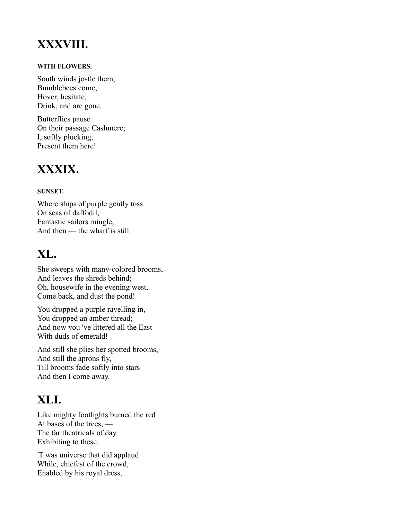### **XXXVIII.**

#### **WITH FLOWERS.**

South winds jostle them, Bumblebees come, Hover, hesitate, Drink, and are gone.

Butterflies pause On their passage Cashmere; I, softly plucking, Present them here!

#### **XXXIX.**

#### **SUNSET.**

Where ships of purple gently toss On seas of daffodil, Fantastic sailors mingle, And then — the wharf is still.

### **XL.**

She sweeps with many-colored brooms, And leaves the shreds behind; Oh, housewife in the evening west, Come back, and dust the pond!

You dropped a purple ravelling in, You dropped an amber thread; And now you 've littered all the East With duds of emerald!

And still she plies her spotted brooms, And still the aprons fly, Till brooms fade softly into stars — And then I come away.

### **XLI.**

Like mighty footlights burned the red At bases of the trees, — The far theatricals of day Exhibiting to these.

'T was universe that did applaud While, chiefest of the crowd, Enabled by his royal dress,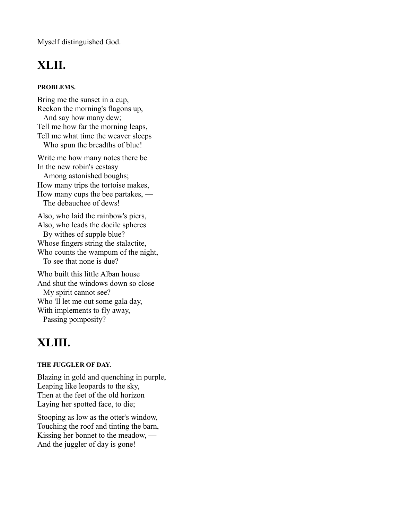Myself distinguished God.

### **XLII.**

#### **PROBLEMS.**

Bring me the sunset in a cup, Reckon the morning's flagons up, And say how many dew; Tell me how far the morning leaps, Tell me what time the weaver sleeps Who spun the breadths of blue!

Write me how many notes there be In the new robin's ecstasy Among astonished boughs; How many trips the tortoise makes, How many cups the bee partakes, — The debauchee of dews!

Also, who laid the rainbow's piers, Also, who leads the docile spheres By withes of supple blue? Whose fingers string the stalactite, Who counts the wampum of the night, To see that none is due?

Who built this little Alban house And shut the windows down so close My spirit cannot see? Who 'll let me out some gala day, With implements to fly away, Passing pomposity?

### **XLIII.**

#### **THE JUGGLER OF DAY.**

Blazing in gold and quenching in purple, Leaping like leopards to the sky, Then at the feet of the old horizon Laying her spotted face, to die;

Stooping as low as the otter's window, Touching the roof and tinting the barn, Kissing her bonnet to the meadow, — And the juggler of day is gone!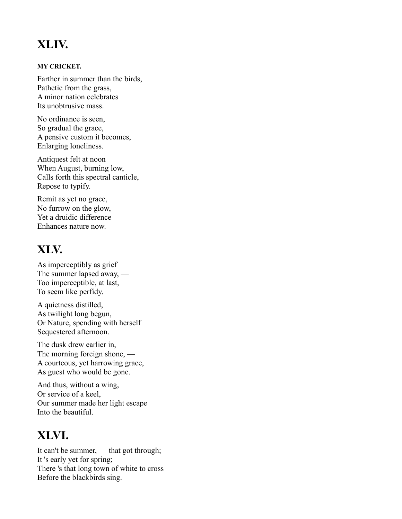### **XLIV.**

#### **MY CRICKET.**

Farther in summer than the birds, Pathetic from the grass, A minor nation celebrates Its unobtrusive mass.

No ordinance is seen, So gradual the grace, A pensive custom it becomes, Enlarging loneliness.

Antiquest felt at noon When August, burning low, Calls forth this spectral canticle, Repose to typify.

Remit as yet no grace, No furrow on the glow, Yet a druidic difference Enhances nature now.

### **XLV.**

As imperceptibly as grief The summer lapsed away, — Too imperceptible, at last, To seem like perfidy.

A quietness distilled, As twilight long begun, Or Nature, spending with herself Sequestered afternoon.

The dusk drew earlier in, The morning foreign shone, — A courteous, yet harrowing grace, As guest who would be gone.

And thus, without a wing, Or service of a keel, Our summer made her light escape Into the beautiful.

### **XLVI.**

It can't be summer, — that got through; It 's early yet for spring; There 's that long town of white to cross Before the blackbirds sing.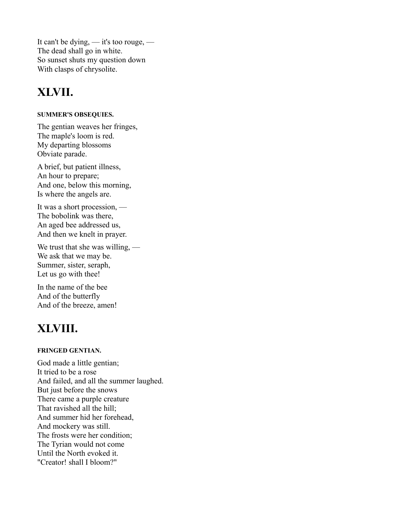It can't be dying, — it's too rouge, — The dead shall go in white. So sunset shuts my question down With clasps of chrysolite.

#### **XLVII.**

#### **SUMMER'S OBSEQUIES.**

The gentian weaves her fringes, The maple's loom is red. My departing blossoms Obviate parade.

A brief, but patient illness, An hour to prepare; And one, below this morning, Is where the angels are.

It was a short procession, — The bobolink was there, An aged bee addressed us, And then we knelt in prayer.

We trust that she was willing, — We ask that we may be. Summer, sister, seraph, Let us go with thee!

In the name of the bee And of the butterfly And of the breeze, amen!

### **XLVIII.**

#### **FRINGED GENTIAN.**

God made a little gentian; It tried to be a rose And failed, and all the summer laughed. But just before the snows There came a purple creature That ravished all the hill; And summer hid her forehead, And mockery was still. The frosts were her condition; The Tyrian would not come Until the North evoked it. "Creator! shall I bloom?"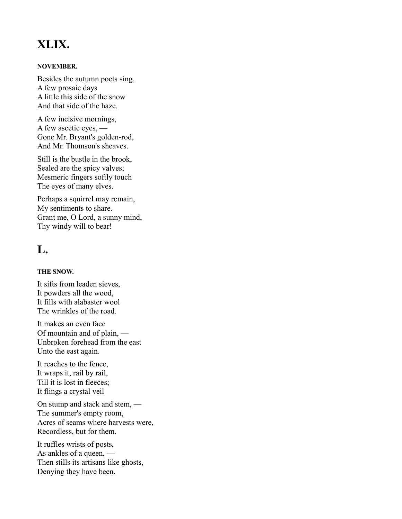### **XLIX.**

#### **NOVEMBER.**

Besides the autumn poets sing, A few prosaic days A little this side of the snow And that side of the haze.

A few incisive mornings, A few ascetic eyes, — Gone Mr. Bryant's golden-rod, And Mr. Thomson's sheaves.

Still is the bustle in the brook, Sealed are the spicy valves; Mesmeric fingers softly touch The eyes of many elves.

Perhaps a squirrel may remain, My sentiments to share. Grant me, O Lord, a sunny mind, Thy windy will to bear!

#### **L.**

#### **THE SNOW.**

It sifts from leaden sieves, It powders all the wood, It fills with alabaster wool The wrinkles of the road.

It makes an even face Of mountain and of plain, — Unbroken forehead from the east Unto the east again.

It reaches to the fence, It wraps it, rail by rail, Till it is lost in fleeces; It flings a crystal veil

On stump and stack and stem, — The summer's empty room, Acres of seams where harvests were, Recordless, but for them.

It ruffles wrists of posts, As ankles of a queen, — Then stills its artisans like ghosts, Denying they have been.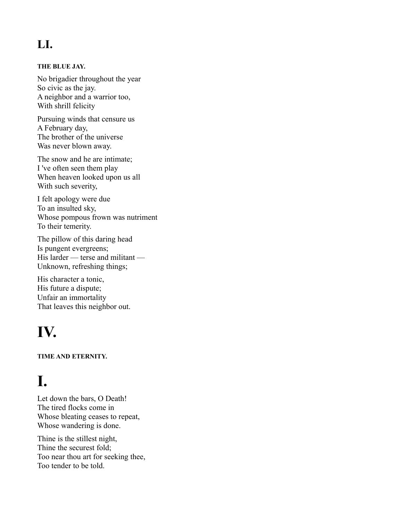### **LI.**

#### **THE BLUE JAY.**

No brigadier throughout the year So civic as the jay. A neighbor and a warrior too, With shrill felicity

Pursuing winds that censure us A February day, The brother of the universe Was never blown away.

The snow and he are intimate; I 've often seen them play When heaven looked upon us all With such severity,

I felt apology were due To an insulted sky, Whose pompous frown was nutriment To their temerity.

The pillow of this daring head Is pungent evergreens; His larder — terse and militant — Unknown, refreshing things;

His character a tonic, His future a dispute; Unfair an immortality That leaves this neighbor out.

# **IV.**

**TIME AND ETERNITY.**

# **I.**

Let down the bars, O Death! The tired flocks come in Whose bleating ceases to repeat, Whose wandering is done.

Thine is the stillest night, Thine the securest fold; Too near thou art for seeking thee, Too tender to be told.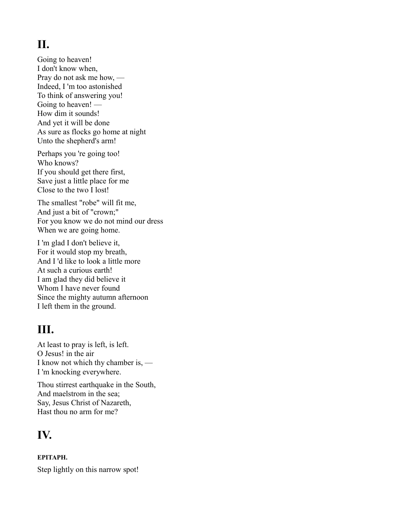### **II.**

Going to heaven! I don't know when, Pray do not ask me how, — Indeed, I 'm too astonished To think of answering you! Going to heaven! — How dim it sounds! And yet it will be done As sure as flocks go home at night Unto the shepherd's arm!

Perhaps you 're going too! Who knows? If you should get there first, Save just a little place for me Close to the two I lost!

The smallest "robe" will fit me, And just a bit of "crown;" For you know we do not mind our dress When we are going home.

I 'm glad I don't believe it, For it would stop my breath, And I 'd like to look a little more At such a curious earth! I am glad they did believe it Whom I have never found Since the mighty autumn afternoon I left them in the ground.

#### **III.**

At least to pray is left, is left. O Jesus! in the air I know not which thy chamber is, — I 'm knocking everywhere.

Thou stirrest earthquake in the South, And maelstrom in the sea; Say, Jesus Christ of Nazareth, Hast thou no arm for me?

#### **IV.**

**EPITAPH.** Step lightly on this narrow spot!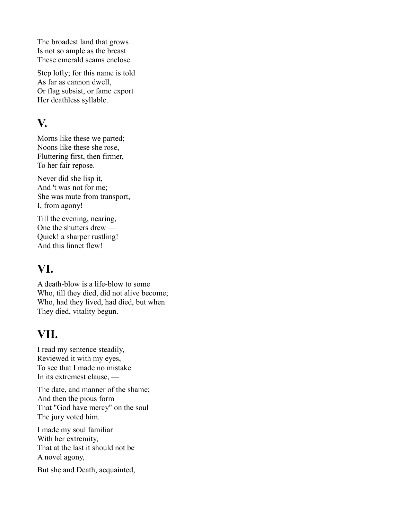The broadest land that grows Is not so ample as the breast These emerald seams enclose.

Step lofty; for this name is told As far as cannon dwell, Or flag subsist, or fame export Her deathless syllable.

#### **V.**

Morns like these we parted; Noons like these she rose, Fluttering first, then firmer, To her fair repose.

Never did she lisp it, And 't was not for me; She was mute from transport, I, from agony!

Till the evening, nearing, One the shutters drew — Quick! a sharper rustling! And this linnet flew!

#### **VI.**

A death-blow is a life-blow to some Who, till they died, did not alive become; Who, had they lived, had died, but when They died, vitality begun.

#### **VII.**

I read my sentence steadily, Reviewed it with my eyes, To see that I made no mistake In its extremest clause, —

The date, and manner of the shame; And then the pious form That "God have mercy" on the soul The jury voted him.

I made my soul familiar With her extremity, That at the last it should not be A novel agony,

But she and Death, acquainted,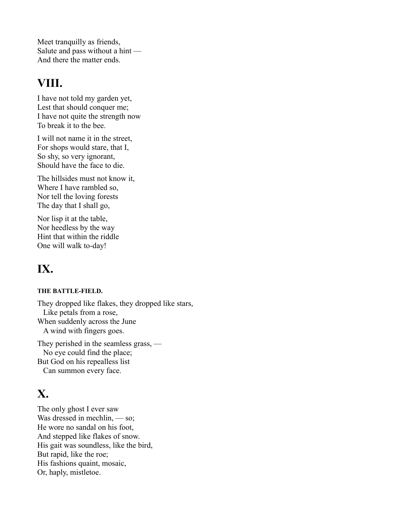Meet tranquilly as friends, Salute and pass without a hint — And there the matter ends.

#### **VIII.**

I have not told my garden yet, Lest that should conquer me; I have not quite the strength now To break it to the bee.

I will not name it in the street, For shops would stare, that I, So shy, so very ignorant, Should have the face to die.

The hillsides must not know it, Where I have rambled so, Nor tell the loving forests The day that I shall go,

Nor lisp it at the table, Nor heedless by the way Hint that within the riddle One will walk to-day!

### **IX.**

#### **THE BATTLE-FIELD.**

They dropped like flakes, they dropped like stars, Like petals from a rose, When suddenly across the June A wind with fingers goes.

They perished in the seamless grass, — No eye could find the place; But God on his repealless list Can summon every face.

### **X.**

The only ghost I ever saw Was dressed in mechlin, — so; He wore no sandal on his foot, And stepped like flakes of snow. His gait was soundless, like the bird, But rapid, like the roe; His fashions quaint, mosaic, Or, haply, mistletoe.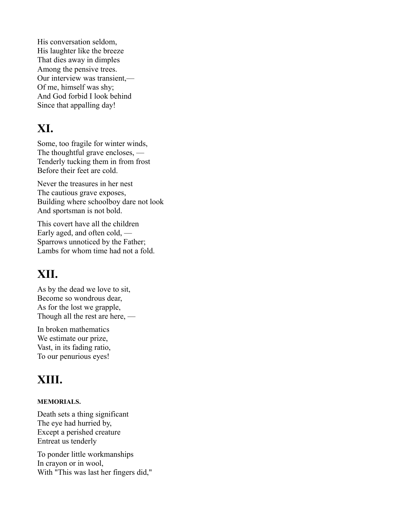His conversation seldom, His laughter like the breeze That dies away in dimples Among the pensive trees. Our interview was transient,— Of me, himself was shy; And God forbid I look behind Since that appalling day!

#### **XI.**

Some, too fragile for winter winds, The thoughtful grave encloses, — Tenderly tucking them in from frost Before their feet are cold.

Never the treasures in her nest The cautious grave exposes, Building where schoolboy dare not look And sportsman is not bold.

This covert have all the children Early aged, and often cold, — Sparrows unnoticed by the Father; Lambs for whom time had not a fold.

### **XII.**

As by the dead we love to sit, Become so wondrous dear, As for the lost we grapple, Though all the rest are here, —

In broken mathematics We estimate our prize, Vast, in its fading ratio, To our penurious eyes!

### **XIII.**

#### **MEMORIALS.**

Death sets a thing significant The eye had hurried by, Except a perished creature Entreat us tenderly

To ponder little workmanships In crayon or in wool, With "This was last her fingers did,"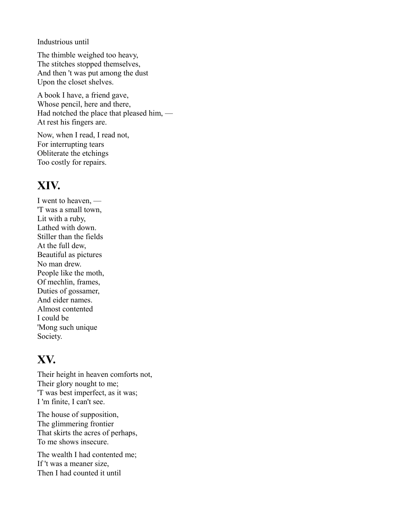Industrious until

The thimble weighed too heavy, The stitches stopped themselves, And then 't was put among the dust Upon the closet shelves.

A book I have, a friend gave, Whose pencil, here and there, Had notched the place that pleased him, — At rest his fingers are.

Now, when I read, I read not, For interrupting tears Obliterate the etchings Too costly for repairs.

### **XIV.**

I went to heaven, — 'T was a small town, Lit with a ruby, Lathed with down. Stiller than the fields At the full dew, Beautiful as pictures No man drew. People like the moth, Of mechlin, frames, Duties of gossamer, And eider names. Almost contented I could be 'Mong such unique Society.

### **XV.**

Their height in heaven comforts not, Their glory nought to me; 'T was best imperfect, as it was; I 'm finite, I can't see.

The house of supposition, The glimmering frontier That skirts the acres of perhaps, To me shows insecure.

The wealth I had contented me; If 't was a meaner size, Then I had counted it until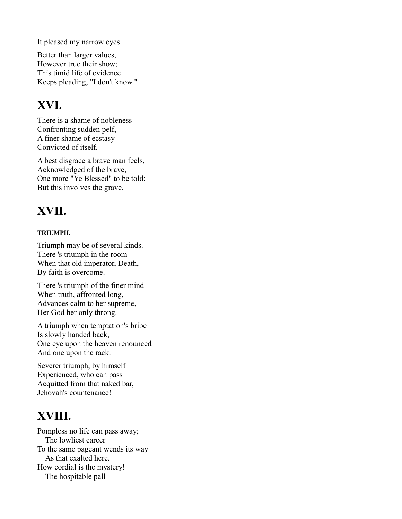It pleased my narrow eyes

Better than larger values, However true their show; This timid life of evidence Keeps pleading, "I don't know."

#### **XVI.**

There is a shame of nobleness Confronting sudden pelf, — A finer shame of ecstasy Convicted of itself.

A best disgrace a brave man feels, Acknowledged of the brave, — One more "Ye Blessed" to be told; But this involves the grave.

### **XVII.**

#### **TRIUMPH.**

Triumph may be of several kinds. There 's triumph in the room When that old imperator, Death, By faith is overcome.

There 's triumph of the finer mind When truth, affronted long, Advances calm to her supreme, Her God her only throng.

A triumph when temptation's bribe Is slowly handed back, One eye upon the heaven renounced And one upon the rack.

Severer triumph, by himself Experienced, who can pass Acquitted from that naked bar, Jehovah's countenance!

### **XVIII.**

Pompless no life can pass away; The lowliest career To the same pageant wends its way As that exalted here. How cordial is the mystery! The hospitable pall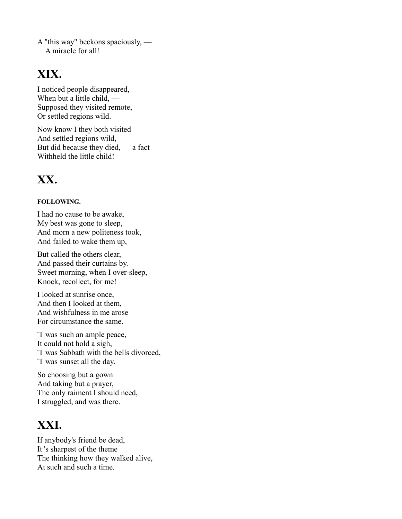A "this way" beckons spaciously, — A miracle for all!

#### **XIX.**

I noticed people disappeared, When but a little child, — Supposed they visited remote, Or settled regions wild.

Now know I they both visited And settled regions wild, But did because they died, — a fact Withheld the little child!

### **XX.**

#### **FOLLOWING.**

I had no cause to be awake, My best was gone to sleep, And morn a new politeness took, And failed to wake them up,

But called the others clear, And passed their curtains by. Sweet morning, when I over-sleep, Knock, recollect, for me!

I looked at sunrise once, And then I looked at them, And wishfulness in me arose For circumstance the same.

'T was such an ample peace, It could not hold a sigh, — 'T was Sabbath with the bells divorced, 'T was sunset all the day.

So choosing but a gown And taking but a prayer, The only raiment I should need, I struggled, and was there.

### **XXI.**

If anybody's friend be dead, It 's sharpest of the theme The thinking how they walked alive, At such and such a time.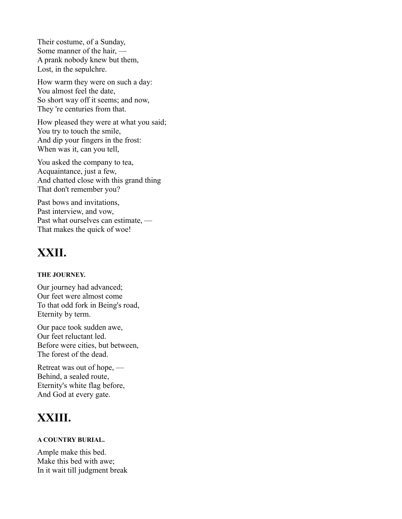Their costume, of a Sunday, Some manner of the hair, — A prank nobody knew but them, Lost, in the sepulchre.

How warm they were on such a day: You almost feel the date, So short way off it seems; and now, They 're centuries from that.

How pleased they were at what you said; You try to touch the smile, And dip your fingers in the frost: When was it, can you tell,

You asked the company to tea, Acquaintance, just a few, And chatted close with this grand thing That don't remember you?

Past bows and invitations, Past interview, and vow, Past what ourselves can estimate, — That makes the quick of woe!

### **XXII.**

#### **THE JOURNEY.**

Our journey had advanced; Our feet were almost come To that odd fork in Being's road, Eternity by term.

Our pace took sudden awe, Our feet reluctant led. Before were cities, but between, The forest of the dead.

Retreat was out of hope, — Behind, a sealed route, Eternity's white flag before, And God at every gate.

### **XXIII.**

#### **A COUNTRY BURIAL.**

Ample make this bed. Make this bed with awe; In it wait till judgment break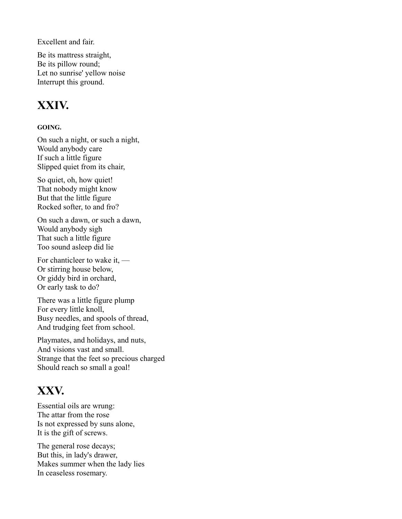Excellent and fair.

Be its mattress straight, Be its pillow round; Let no sunrise' yellow noise Interrupt this ground.

#### **XXIV.**

#### **GOING.**

On such a night, or such a night, Would anybody care If such a little figure Slipped quiet from its chair,

So quiet, oh, how quiet! That nobody might know But that the little figure Rocked softer, to and fro?

On such a dawn, or such a dawn, Would anybody sigh That such a little figure Too sound asleep did lie

For chanticleer to wake it, — Or stirring house below, Or giddy bird in orchard, Or early task to do?

There was a little figure plump For every little knoll, Busy needles, and spools of thread, And trudging feet from school.

Playmates, and holidays, and nuts, And visions vast and small. Strange that the feet so precious charged Should reach so small a goal!

### **XXV.**

Essential oils are wrung: The attar from the rose Is not expressed by suns alone, It is the gift of screws.

The general rose decays; But this, in lady's drawer, Makes summer when the lady lies In ceaseless rosemary.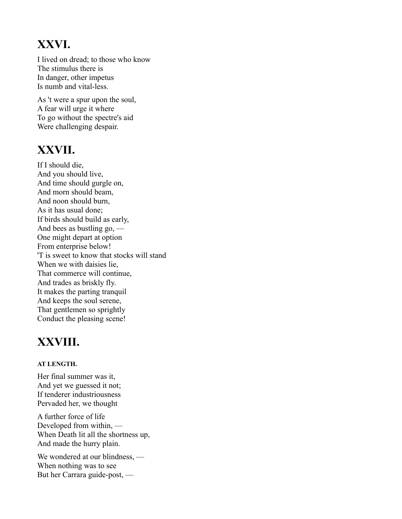### **XXVI.**

I lived on dread; to those who know The stimulus there is In danger, other impetus Is numb and vital-less.

As 't were a spur upon the soul, A fear will urge it where To go without the spectre's aid Were challenging despair.

### **XXVII.**

If I should die, And you should live, And time should gurgle on, And morn should beam, And noon should burn, As it has usual done; If birds should build as early, And bees as bustling go, — One might depart at option From enterprise below! 'T is sweet to know that stocks will stand When we with daisies lie, That commerce will continue, And trades as briskly fly. It makes the parting tranquil And keeps the soul serene, That gentlemen so sprightly Conduct the pleasing scene!

### **XXVIII.**

#### **AT LENGTH.**

Her final summer was it, And yet we guessed it not; If tenderer industriousness Pervaded her, we thought

A further force of life Developed from within, — When Death lit all the shortness up, And made the hurry plain.

We wondered at our blindness, — When nothing was to see But her Carrara guide-post, —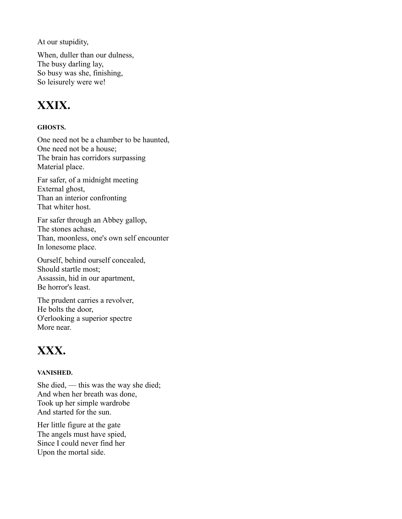At our stupidity,

When, duller than our dulness, The busy darling lay, So busy was she, finishing, So leisurely were we!

### **XXIX.**

#### **GHOSTS.**

One need not be a chamber to be haunted, One need not be a house; The brain has corridors surpassing Material place.

Far safer, of a midnight meeting External ghost, Than an interior confronting That whiter host.

Far safer through an Abbey gallop, The stones achase, Than, moonless, one's own self encounter In lonesome place.

Ourself, behind ourself concealed, Should startle most; Assassin, hid in our apartment, Be horror's least.

The prudent carries a revolver, He bolts the door, O'erlooking a superior spectre More near.

#### **XXX.**

#### **VANISHED.**

She died, — this was the way she died; And when her breath was done, Took up her simple wardrobe And started for the sun.

Her little figure at the gate The angels must have spied, Since I could never find her Upon the mortal side.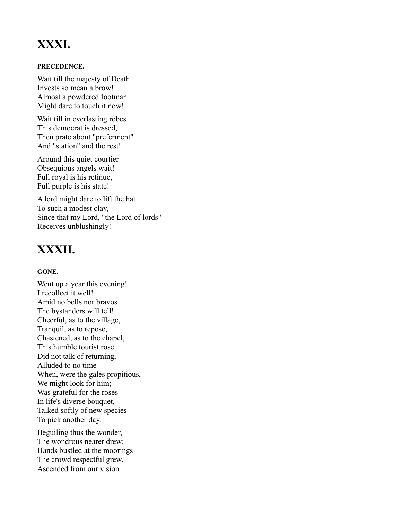### **XXXI.**

#### **PRECEDENCE.**

Wait till the majesty of Death Invests so mean a brow! Almost a powdered footman Might dare to touch it now!

Wait till in everlasting robes This democrat is dressed, Then prate about "preferment" And "station" and the rest!

Around this quiet courtier Obsequious angels wait! Full royal is his retinue, Full purple is his state!

A lord might dare to lift the hat To such a modest clay, Since that my Lord, "the Lord of lords" Receives unblushingly!

### **XXXII.**

#### **GONE.**

Went up a year this evening! I recollect it well! Amid no bells nor bravos The bystanders will tell! Cheerful, as to the village, Tranquil, as to repose, Chastened, as to the chapel, This humble tourist rose. Did not talk of returning, Alluded to no time When, were the gales propitious, We might look for him; Was grateful for the roses In life's diverse bouquet, Talked softly of new species To pick another day.

Beguiling thus the wonder, The wondrous nearer drew; Hands bustled at the moorings — The crowd respectful grew. Ascended from our vision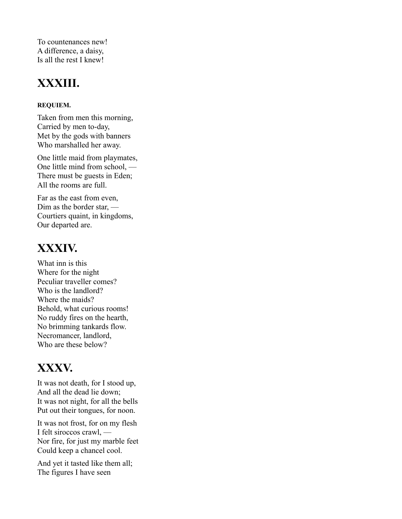To countenances new! A difference, a daisy, Is all the rest I knew!

### **XXXIII.**

#### **REQUIEM.**

Taken from men this morning, Carried by men to-day, Met by the gods with banners Who marshalled her away.

One little maid from playmates, One little mind from school, — There must be guests in Eden; All the rooms are full.

Far as the east from even, Dim as the border star, — Courtiers quaint, in kingdoms, Our departed are.

### **XXXIV.**

What inn is this Where for the night Peculiar traveller comes? Who is the landlord? Where the maids? Behold, what curious rooms! No ruddy fires on the hearth, No brimming tankards flow. Necromancer, landlord, Who are these below?

### **XXXV.**

It was not death, for I stood up, And all the dead lie down; It was not night, for all the bells Put out their tongues, for noon.

It was not frost, for on my flesh I felt siroccos crawl, — Nor fire, for just my marble feet Could keep a chancel cool.

And yet it tasted like them all; The figures I have seen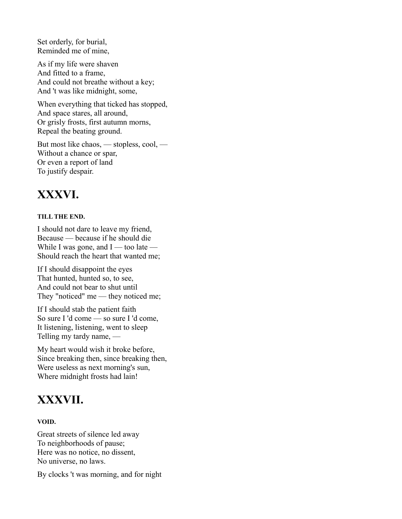Set orderly, for burial, Reminded me of mine,

As if my life were shaven And fitted to a frame, And could not breathe without a key; And 't was like midnight, some,

When everything that ticked has stopped, And space stares, all around, Or grisly frosts, first autumn morns, Repeal the beating ground.

But most like chaos, — stopless, cool, — Without a chance or spar, Or even a report of land To justify despair.

### **XXXVI.**

#### **TILL THE END.**

I should not dare to leave my friend, Because — because if he should die While I was gone, and  $I$  — too late — Should reach the heart that wanted me;

If I should disappoint the eyes That hunted, hunted so, to see, And could not bear to shut until They "noticed" me — they noticed me;

If I should stab the patient faith So sure I 'd come — so sure I 'd come, It listening, listening, went to sleep Telling my tardy name, —

My heart would wish it broke before, Since breaking then, since breaking then, Were useless as next morning's sun, Where midnight frosts had lain!

#### **XXXVII.**

#### **VOID.**

Great streets of silence led away To neighborhoods of pause; Here was no notice, no dissent, No universe, no laws.

By clocks 't was morning, and for night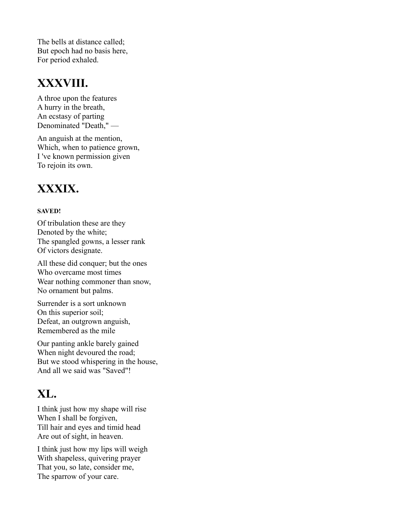The bells at distance called; But epoch had no basis here, For period exhaled.

#### **XXXVIII.**

A throe upon the features A hurry in the breath, An ecstasy of parting Denominated "Death," —

An anguish at the mention, Which, when to patience grown, I 've known permission given To rejoin its own.

#### **XXXIX.**

#### **SAVED!**

Of tribulation these are they Denoted by the white; The spangled gowns, a lesser rank Of victors designate.

All these did conquer; but the ones Who overcame most times Wear nothing commoner than snow, No ornament but palms.

Surrender is a sort unknown On this superior soil; Defeat, an outgrown anguish, Remembered as the mile

Our panting ankle barely gained When night devoured the road; But we stood whispering in the house, And all we said was "Saved"!

### **XL.**

I think just how my shape will rise When I shall be forgiven, Till hair and eyes and timid head Are out of sight, in heaven.

I think just how my lips will weigh With shapeless, quivering prayer That you, so late, consider me, The sparrow of your care.